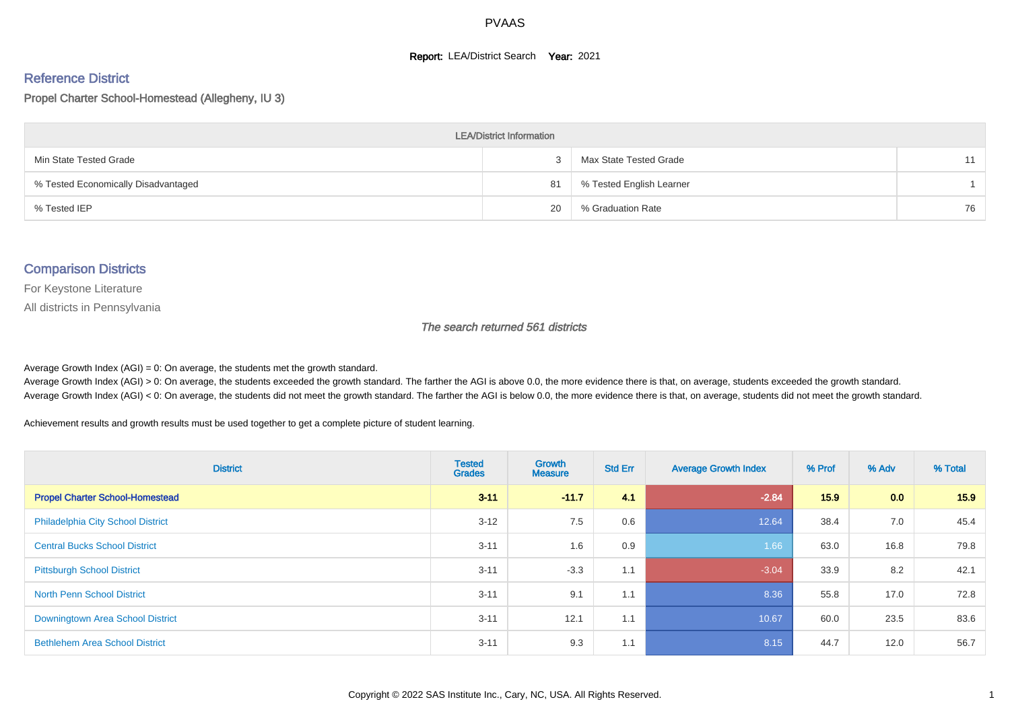#### **Report: LEA/District Search Year: 2021**

# Reference District

Propel Charter School-Homestead (Allegheny, IU 3)

| <b>LEA/District Information</b>     |    |                          |    |  |  |  |  |  |  |
|-------------------------------------|----|--------------------------|----|--|--|--|--|--|--|
| Min State Tested Grade              |    | Max State Tested Grade   | 11 |  |  |  |  |  |  |
| % Tested Economically Disadvantaged | 81 | % Tested English Learner |    |  |  |  |  |  |  |
| % Tested IEP                        | 20 | % Graduation Rate        | 76 |  |  |  |  |  |  |

#### Comparison Districts

For Keystone Literature

All districts in Pennsylvania

The search returned 561 districts

Average Growth Index  $(AGI) = 0$ : On average, the students met the growth standard.

Average Growth Index (AGI) > 0: On average, the students exceeded the growth standard. The farther the AGI is above 0.0, the more evidence there is that, on average, students exceeded the growth standard. Average Growth Index (AGI) < 0: On average, the students did not meet the growth standard. The farther the AGI is below 0.0, the more evidence there is that, on average, students did not meet the growth standard.

Achievement results and growth results must be used together to get a complete picture of student learning.

| <b>District</b>                          | <b>Tested</b><br><b>Grades</b> | <b>Growth</b><br><b>Measure</b> | <b>Std Err</b> | <b>Average Growth Index</b> | % Prof | % Adv | % Total |
|------------------------------------------|--------------------------------|---------------------------------|----------------|-----------------------------|--------|-------|---------|
| <b>Propel Charter School-Homestead</b>   | $3 - 11$                       | $-11.7$                         | 4.1            | $-2.84$                     | 15.9   | 0.0   | 15.9    |
| <b>Philadelphia City School District</b> | $3 - 12$                       | 7.5                             | 0.6            | 12.64                       | 38.4   | 7.0   | 45.4    |
| <b>Central Bucks School District</b>     | $3 - 11$                       | 1.6                             | 0.9            | 1.66                        | 63.0   | 16.8  | 79.8    |
| <b>Pittsburgh School District</b>        | $3 - 11$                       | $-3.3$                          | 1.1            | $-3.04$                     | 33.9   | 8.2   | 42.1    |
| <b>North Penn School District</b>        | $3 - 11$                       | 9.1                             | 1.1            | 8.36                        | 55.8   | 17.0  | 72.8    |
| Downingtown Area School District         | $3 - 11$                       | 12.1                            | 1.1            | 10.67                       | 60.0   | 23.5  | 83.6    |
| <b>Bethlehem Area School District</b>    | $3 - 11$                       | 9.3                             | 1.1            | 8.15                        | 44.7   | 12.0  | 56.7    |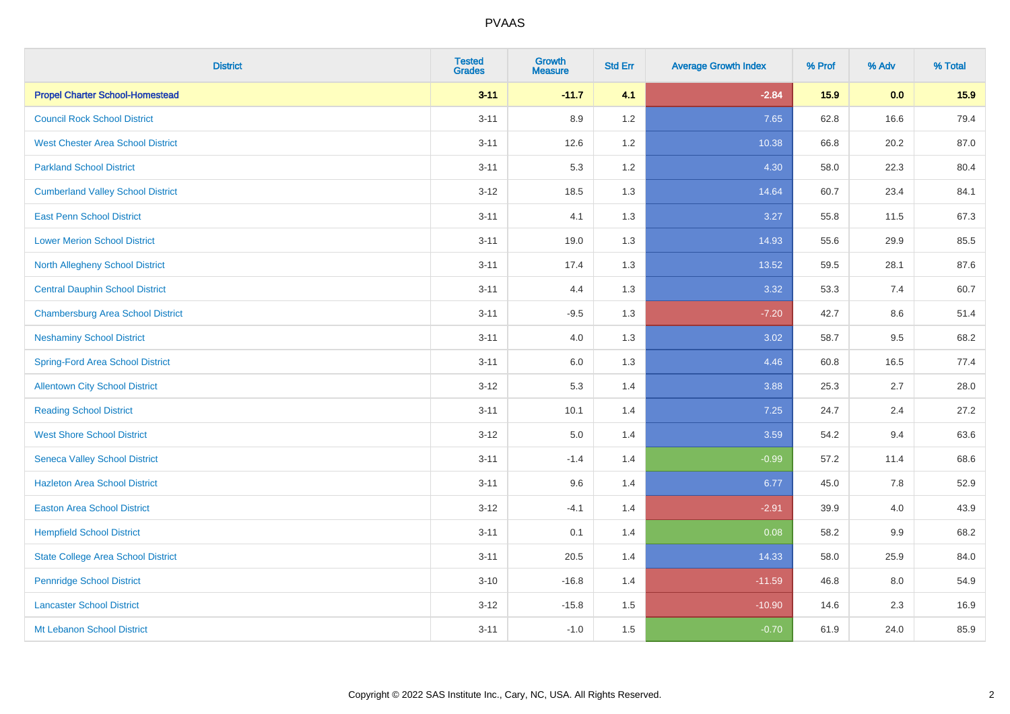| <b>District</b>                           | <b>Tested</b><br><b>Grades</b> | <b>Growth</b><br><b>Measure</b> | <b>Std Err</b> | <b>Average Growth Index</b> | % Prof | % Adv | % Total |
|-------------------------------------------|--------------------------------|---------------------------------|----------------|-----------------------------|--------|-------|---------|
| <b>Propel Charter School-Homestead</b>    | $3 - 11$                       | $-11.7$                         | 4.1            | $-2.84$                     | 15.9   | 0.0   | 15.9    |
| <b>Council Rock School District</b>       | $3 - 11$                       | 8.9                             | 1.2            | 7.65                        | 62.8   | 16.6  | 79.4    |
| <b>West Chester Area School District</b>  | $3 - 11$                       | 12.6                            | 1.2            | 10.38                       | 66.8   | 20.2  | 87.0    |
| <b>Parkland School District</b>           | $3 - 11$                       | 5.3                             | 1.2            | 4.30                        | 58.0   | 22.3  | 80.4    |
| <b>Cumberland Valley School District</b>  | $3 - 12$                       | 18.5                            | 1.3            | 14.64                       | 60.7   | 23.4  | 84.1    |
| <b>East Penn School District</b>          | $3 - 11$                       | 4.1                             | 1.3            | 3.27                        | 55.8   | 11.5  | 67.3    |
| <b>Lower Merion School District</b>       | $3 - 11$                       | 19.0                            | 1.3            | 14.93                       | 55.6   | 29.9  | 85.5    |
| <b>North Allegheny School District</b>    | $3 - 11$                       | 17.4                            | 1.3            | 13.52                       | 59.5   | 28.1  | 87.6    |
| <b>Central Dauphin School District</b>    | $3 - 11$                       | 4.4                             | 1.3            | 3.32                        | 53.3   | 7.4   | 60.7    |
| <b>Chambersburg Area School District</b>  | $3 - 11$                       | $-9.5$                          | 1.3            | $-7.20$                     | 42.7   | 8.6   | 51.4    |
| <b>Neshaminy School District</b>          | $3 - 11$                       | 4.0                             | 1.3            | 3.02                        | 58.7   | 9.5   | 68.2    |
| <b>Spring-Ford Area School District</b>   | $3 - 11$                       | 6.0                             | 1.3            | 4.46                        | 60.8   | 16.5  | 77.4    |
| <b>Allentown City School District</b>     | $3 - 12$                       | 5.3                             | 1.4            | 3.88                        | 25.3   | 2.7   | 28.0    |
| <b>Reading School District</b>            | $3 - 11$                       | 10.1                            | 1.4            | 7.25                        | 24.7   | 2.4   | 27.2    |
| <b>West Shore School District</b>         | $3 - 12$                       | $5.0\,$                         | 1.4            | 3.59                        | 54.2   | 9.4   | 63.6    |
| <b>Seneca Valley School District</b>      | $3 - 11$                       | $-1.4$                          | 1.4            | $-0.99$                     | 57.2   | 11.4  | 68.6    |
| <b>Hazleton Area School District</b>      | $3 - 11$                       | 9.6                             | 1.4            | 6.77                        | 45.0   | 7.8   | 52.9    |
| <b>Easton Area School District</b>        | $3 - 12$                       | $-4.1$                          | 1.4            | $-2.91$                     | 39.9   | 4.0   | 43.9    |
| <b>Hempfield School District</b>          | $3 - 11$                       | 0.1                             | 1.4            | 0.08                        | 58.2   | 9.9   | 68.2    |
| <b>State College Area School District</b> | $3 - 11$                       | 20.5                            | 1.4            | 14.33                       | 58.0   | 25.9  | 84.0    |
| <b>Pennridge School District</b>          | $3 - 10$                       | $-16.8$                         | 1.4            | $-11.59$                    | 46.8   | 8.0   | 54.9    |
| <b>Lancaster School District</b>          | $3 - 12$                       | $-15.8$                         | 1.5            | $-10.90$                    | 14.6   | 2.3   | 16.9    |
| Mt Lebanon School District                | $3 - 11$                       | $-1.0$                          | 1.5            | $-0.70$                     | 61.9   | 24.0  | 85.9    |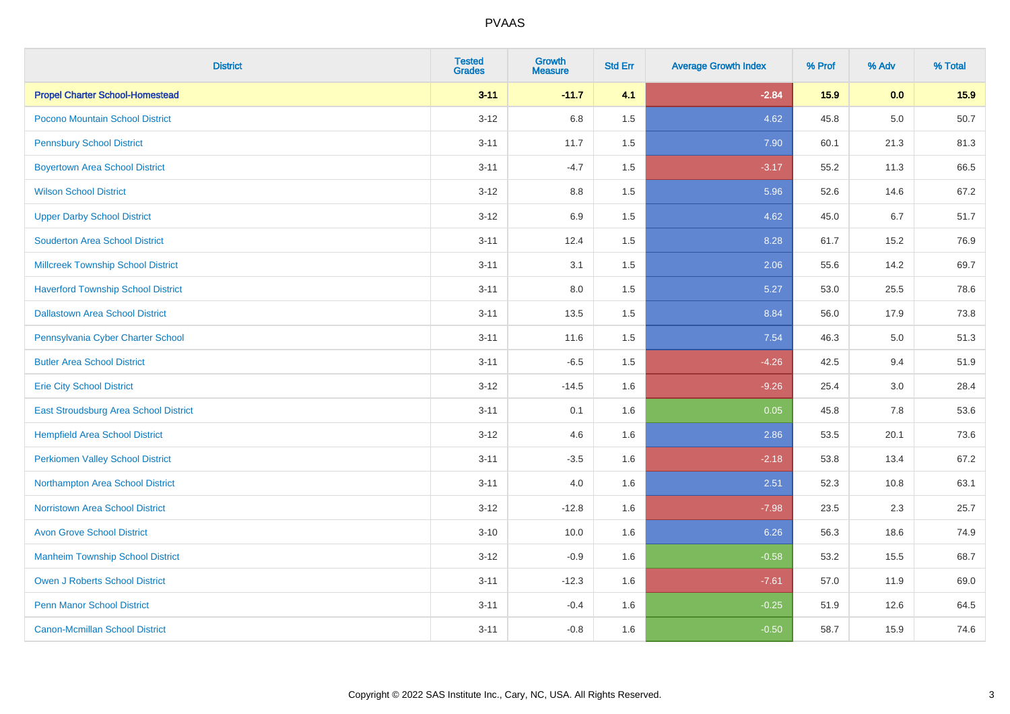| <b>District</b>                           | <b>Tested</b><br><b>Grades</b> | <b>Growth</b><br><b>Measure</b> | <b>Std Err</b> | <b>Average Growth Index</b> | % Prof | % Adv   | % Total |
|-------------------------------------------|--------------------------------|---------------------------------|----------------|-----------------------------|--------|---------|---------|
| <b>Propel Charter School-Homestead</b>    | $3 - 11$                       | $-11.7$                         | 4.1            | $-2.84$                     | 15.9   | 0.0     | 15.9    |
| Pocono Mountain School District           | $3 - 12$                       | 6.8                             | 1.5            | 4.62                        | 45.8   | 5.0     | 50.7    |
| <b>Pennsbury School District</b>          | $3 - 11$                       | 11.7                            | 1.5            | 7.90                        | 60.1   | 21.3    | 81.3    |
| <b>Boyertown Area School District</b>     | $3 - 11$                       | $-4.7$                          | 1.5            | $-3.17$                     | 55.2   | 11.3    | 66.5    |
| <b>Wilson School District</b>             | $3 - 12$                       | 8.8                             | 1.5            | 5.96                        | 52.6   | 14.6    | 67.2    |
| <b>Upper Darby School District</b>        | $3-12$                         | 6.9                             | 1.5            | 4.62                        | 45.0   | 6.7     | 51.7    |
| <b>Souderton Area School District</b>     | $3 - 11$                       | 12.4                            | 1.5            | 8.28                        | 61.7   | 15.2    | 76.9    |
| <b>Millcreek Township School District</b> | $3 - 11$                       | 3.1                             | 1.5            | 2.06                        | 55.6   | 14.2    | 69.7    |
| <b>Haverford Township School District</b> | $3 - 11$                       | 8.0                             | 1.5            | 5.27                        | 53.0   | 25.5    | 78.6    |
| <b>Dallastown Area School District</b>    | $3 - 11$                       | 13.5                            | 1.5            | 8.84                        | 56.0   | 17.9    | 73.8    |
| Pennsylvania Cyber Charter School         | $3 - 11$                       | 11.6                            | 1.5            | 7.54                        | 46.3   | 5.0     | 51.3    |
| <b>Butler Area School District</b>        | $3 - 11$                       | $-6.5$                          | 1.5            | $-4.26$                     | 42.5   | 9.4     | 51.9    |
| <b>Erie City School District</b>          | $3-12$                         | $-14.5$                         | 1.6            | $-9.26$                     | 25.4   | $3.0\,$ | 28.4    |
| East Stroudsburg Area School District     | $3 - 11$                       | 0.1                             | 1.6            | 0.05                        | 45.8   | 7.8     | 53.6    |
| <b>Hempfield Area School District</b>     | $3 - 12$                       | 4.6                             | 1.6            | 2.86                        | 53.5   | 20.1    | 73.6    |
| <b>Perkiomen Valley School District</b>   | $3 - 11$                       | $-3.5$                          | 1.6            | $-2.18$                     | 53.8   | 13.4    | 67.2    |
| Northampton Area School District          | $3 - 11$                       | 4.0                             | 1.6            | 2.51                        | 52.3   | 10.8    | 63.1    |
| <b>Norristown Area School District</b>    | $3 - 12$                       | $-12.8$                         | 1.6            | $-7.98$                     | 23.5   | 2.3     | 25.7    |
| <b>Avon Grove School District</b>         | $3 - 10$                       | 10.0                            | 1.6            | 6.26                        | 56.3   | 18.6    | 74.9    |
| <b>Manheim Township School District</b>   | $3-12$                         | $-0.9$                          | 1.6            | $-0.58$                     | 53.2   | 15.5    | 68.7    |
| <b>Owen J Roberts School District</b>     | $3 - 11$                       | $-12.3$                         | 1.6            | $-7.61$                     | 57.0   | 11.9    | 69.0    |
| <b>Penn Manor School District</b>         | $3 - 11$                       | $-0.4$                          | 1.6            | $-0.25$                     | 51.9   | 12.6    | 64.5    |
| <b>Canon-Mcmillan School District</b>     | $3 - 11$                       | $-0.8$                          | 1.6            | $-0.50$                     | 58.7   | 15.9    | 74.6    |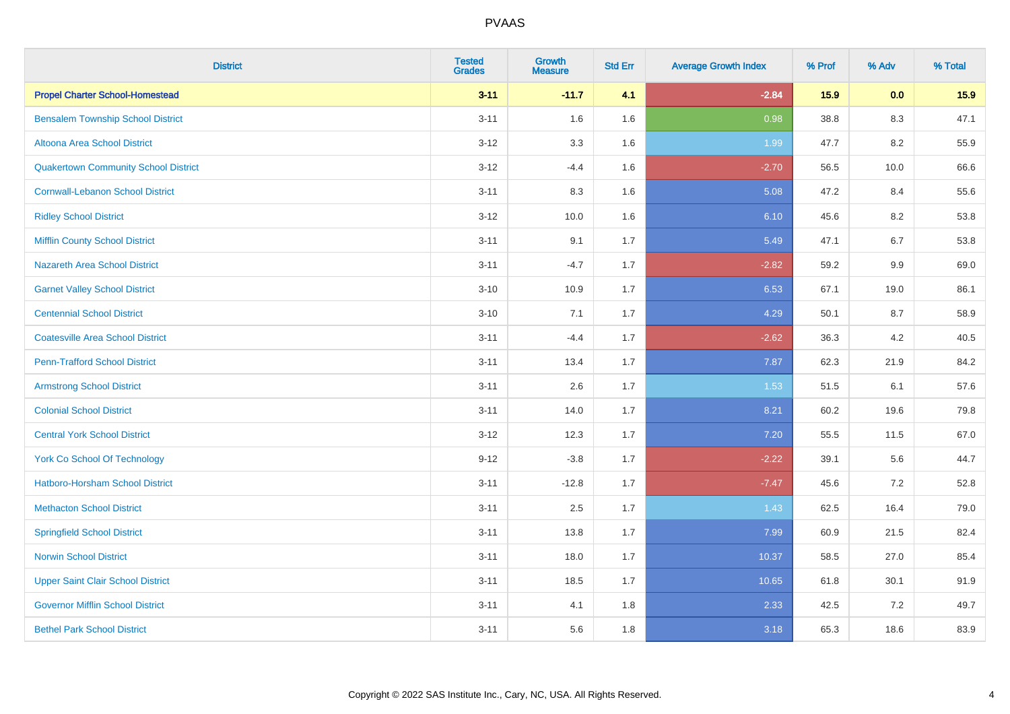| <b>District</b>                             | <b>Tested</b><br><b>Grades</b> | Growth<br><b>Measure</b> | <b>Std Err</b> | <b>Average Growth Index</b> | % Prof | % Adv | % Total |
|---------------------------------------------|--------------------------------|--------------------------|----------------|-----------------------------|--------|-------|---------|
| <b>Propel Charter School-Homestead</b>      | $3 - 11$                       | $-11.7$                  | 4.1            | $-2.84$                     | 15.9   | 0.0   | 15.9    |
| <b>Bensalem Township School District</b>    | $3 - 11$                       | 1.6                      | 1.6            | 0.98                        | 38.8   | 8.3   | 47.1    |
| Altoona Area School District                | $3 - 12$                       | 3.3                      | 1.6            | 1.99                        | 47.7   | 8.2   | 55.9    |
| <b>Quakertown Community School District</b> | $3 - 12$                       | $-4.4$                   | 1.6            | $-2.70$                     | 56.5   | 10.0  | 66.6    |
| <b>Cornwall-Lebanon School District</b>     | $3 - 11$                       | 8.3                      | 1.6            | 5.08                        | 47.2   | 8.4   | 55.6    |
| <b>Ridley School District</b>               | $3 - 12$                       | 10.0                     | 1.6            | 6.10                        | 45.6   | 8.2   | 53.8    |
| <b>Mifflin County School District</b>       | $3 - 11$                       | 9.1                      | 1.7            | 5.49                        | 47.1   | 6.7   | 53.8    |
| <b>Nazareth Area School District</b>        | $3 - 11$                       | $-4.7$                   | 1.7            | $-2.82$                     | 59.2   | 9.9   | 69.0    |
| <b>Garnet Valley School District</b>        | $3 - 10$                       | 10.9                     | 1.7            | 6.53                        | 67.1   | 19.0  | 86.1    |
| <b>Centennial School District</b>           | $3 - 10$                       | 7.1                      | 1.7            | 4.29                        | 50.1   | 8.7   | 58.9    |
| <b>Coatesville Area School District</b>     | $3 - 11$                       | $-4.4$                   | 1.7            | $-2.62$                     | 36.3   | 4.2   | 40.5    |
| <b>Penn-Trafford School District</b>        | $3 - 11$                       | 13.4                     | 1.7            | 7.87                        | 62.3   | 21.9  | 84.2    |
| <b>Armstrong School District</b>            | $3 - 11$                       | 2.6                      | 1.7            | 1.53                        | 51.5   | 6.1   | 57.6    |
| <b>Colonial School District</b>             | $3 - 11$                       | 14.0                     | 1.7            | 8.21                        | 60.2   | 19.6  | 79.8    |
| <b>Central York School District</b>         | $3 - 12$                       | 12.3                     | 1.7            | 7.20                        | 55.5   | 11.5  | 67.0    |
| <b>York Co School Of Technology</b>         | $9 - 12$                       | $-3.8$                   | 1.7            | $-2.22$                     | 39.1   | 5.6   | 44.7    |
| Hatboro-Horsham School District             | $3 - 11$                       | $-12.8$                  | 1.7            | $-7.47$                     | 45.6   | 7.2   | 52.8    |
| <b>Methacton School District</b>            | $3 - 11$                       | 2.5                      | 1.7            | 1.43                        | 62.5   | 16.4  | 79.0    |
| <b>Springfield School District</b>          | $3 - 11$                       | 13.8                     | 1.7            | 7.99                        | 60.9   | 21.5  | 82.4    |
| <b>Norwin School District</b>               | $3 - 11$                       | 18.0                     | 1.7            | 10.37                       | 58.5   | 27.0  | 85.4    |
| <b>Upper Saint Clair School District</b>    | $3 - 11$                       | 18.5                     | 1.7            | 10.65                       | 61.8   | 30.1  | 91.9    |
| <b>Governor Mifflin School District</b>     | $3 - 11$                       | 4.1                      | 1.8            | 2.33                        | 42.5   | 7.2   | 49.7    |
| <b>Bethel Park School District</b>          | $3 - 11$                       | 5.6                      | 1.8            | 3.18                        | 65.3   | 18.6  | 83.9    |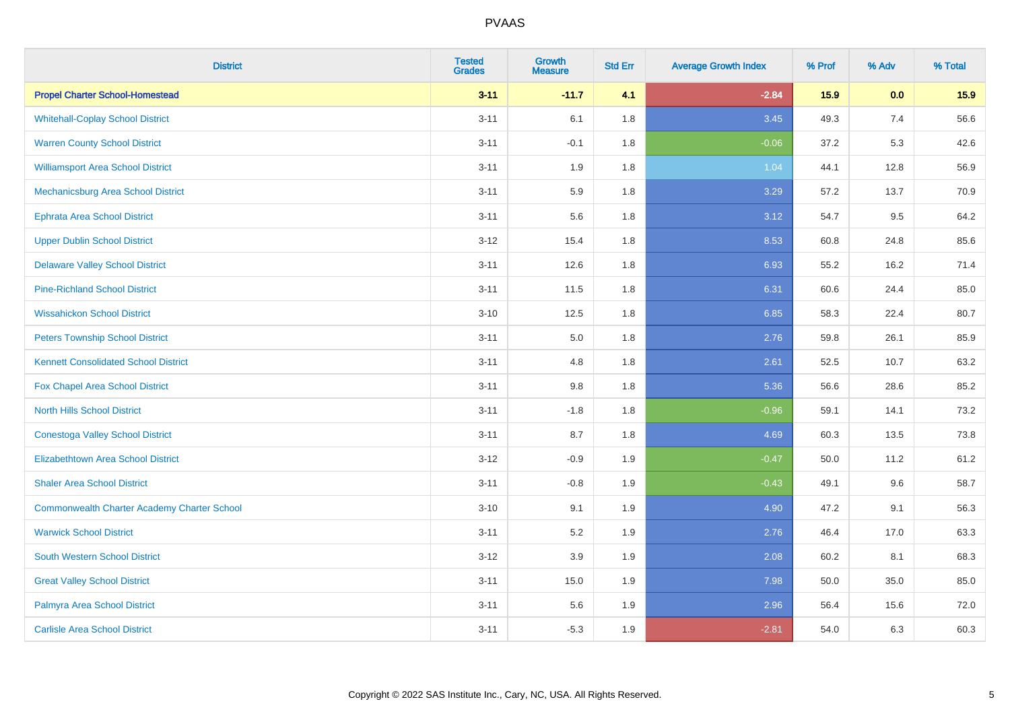| <b>District</b>                                    | <b>Tested</b><br><b>Grades</b> | <b>Growth</b><br><b>Measure</b> | <b>Std Err</b> | <b>Average Growth Index</b> | % Prof | % Adv | % Total |
|----------------------------------------------------|--------------------------------|---------------------------------|----------------|-----------------------------|--------|-------|---------|
| <b>Propel Charter School-Homestead</b>             | $3 - 11$                       | $-11.7$                         | 4.1            | $-2.84$                     | 15.9   | 0.0   | 15.9    |
| <b>Whitehall-Coplay School District</b>            | $3 - 11$                       | 6.1                             | 1.8            | 3.45                        | 49.3   | 7.4   | 56.6    |
| <b>Warren County School District</b>               | $3 - 11$                       | $-0.1$                          | 1.8            | $-0.06$                     | 37.2   | 5.3   | 42.6    |
| <b>Williamsport Area School District</b>           | $3 - 11$                       | 1.9                             | 1.8            | 1.04                        | 44.1   | 12.8  | 56.9    |
| <b>Mechanicsburg Area School District</b>          | $3 - 11$                       | 5.9                             | 1.8            | 3.29                        | 57.2   | 13.7  | 70.9    |
| <b>Ephrata Area School District</b>                | $3 - 11$                       | 5.6                             | 1.8            | 3.12                        | 54.7   | 9.5   | 64.2    |
| <b>Upper Dublin School District</b>                | $3 - 12$                       | 15.4                            | 1.8            | 8.53                        | 60.8   | 24.8  | 85.6    |
| <b>Delaware Valley School District</b>             | $3 - 11$                       | 12.6                            | 1.8            | 6.93                        | 55.2   | 16.2  | 71.4    |
| <b>Pine-Richland School District</b>               | $3 - 11$                       | 11.5                            | 1.8            | 6.31                        | 60.6   | 24.4  | 85.0    |
| <b>Wissahickon School District</b>                 | $3 - 10$                       | 12.5                            | 1.8            | 6.85                        | 58.3   | 22.4  | 80.7    |
| <b>Peters Township School District</b>             | $3 - 11$                       | 5.0                             | 1.8            | 2.76                        | 59.8   | 26.1  | 85.9    |
| <b>Kennett Consolidated School District</b>        | $3 - 11$                       | 4.8                             | 1.8            | 2.61                        | 52.5   | 10.7  | 63.2    |
| Fox Chapel Area School District                    | $3 - 11$                       | $9.8\,$                         | 1.8            | 5.36                        | 56.6   | 28.6  | 85.2    |
| <b>North Hills School District</b>                 | $3 - 11$                       | $-1.8$                          | 1.8            | $-0.96$                     | 59.1   | 14.1  | 73.2    |
| <b>Conestoga Valley School District</b>            | $3 - 11$                       | 8.7                             | 1.8            | 4.69                        | 60.3   | 13.5  | 73.8    |
| <b>Elizabethtown Area School District</b>          | $3 - 12$                       | $-0.9$                          | 1.9            | $-0.47$                     | 50.0   | 11.2  | 61.2    |
| <b>Shaler Area School District</b>                 | $3 - 11$                       | $-0.8$                          | 1.9            | $-0.43$                     | 49.1   | 9.6   | 58.7    |
| <b>Commonwealth Charter Academy Charter School</b> | $3 - 10$                       | 9.1                             | 1.9            | 4.90                        | 47.2   | 9.1   | 56.3    |
| <b>Warwick School District</b>                     | $3 - 11$                       | 5.2                             | 1.9            | 2.76                        | 46.4   | 17.0  | 63.3    |
| <b>South Western School District</b>               | $3 - 12$                       | 3.9                             | 1.9            | 2.08                        | 60.2   | 8.1   | 68.3    |
| <b>Great Valley School District</b>                | $3 - 11$                       | 15.0                            | 1.9            | 7.98                        | 50.0   | 35.0  | 85.0    |
| Palmyra Area School District                       | $3 - 11$                       | 5.6                             | 1.9            | 2.96                        | 56.4   | 15.6  | 72.0    |
| <b>Carlisle Area School District</b>               | $3 - 11$                       | $-5.3$                          | 1.9            | $-2.81$                     | 54.0   | 6.3   | 60.3    |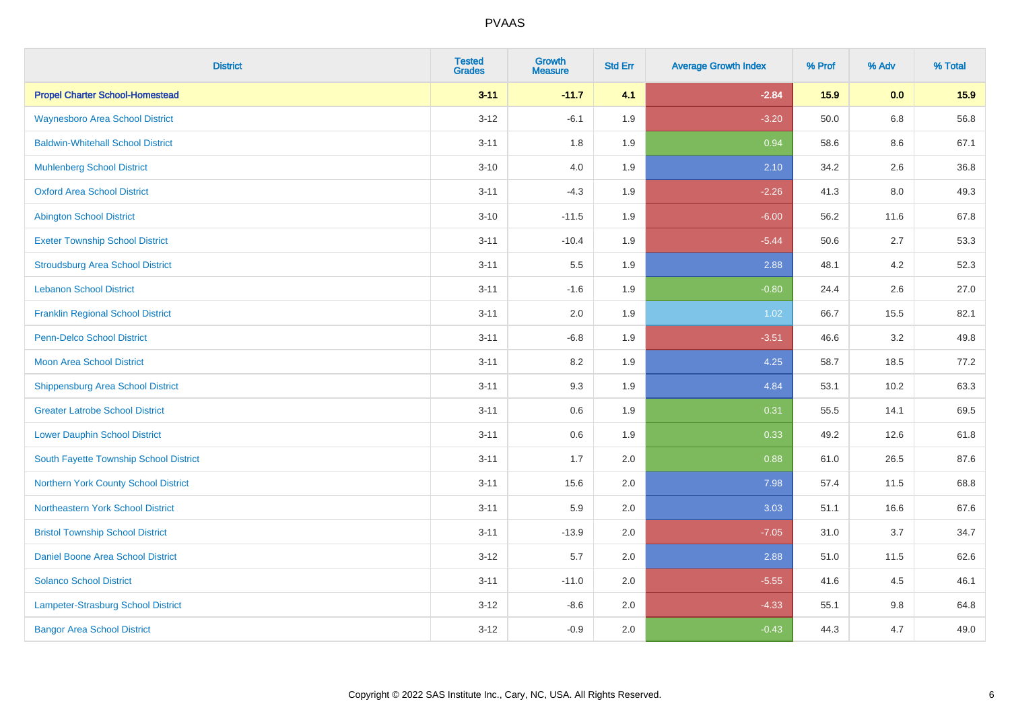| <b>District</b>                          | <b>Tested</b><br><b>Grades</b> | <b>Growth</b><br><b>Measure</b> | <b>Std Err</b> | <b>Average Growth Index</b> | % Prof | % Adv   | % Total |
|------------------------------------------|--------------------------------|---------------------------------|----------------|-----------------------------|--------|---------|---------|
| <b>Propel Charter School-Homestead</b>   | $3 - 11$                       | $-11.7$                         | 4.1            | $-2.84$                     | 15.9   | 0.0     | 15.9    |
| <b>Waynesboro Area School District</b>   | $3 - 12$                       | $-6.1$                          | 1.9            | $-3.20$                     | 50.0   | $6.8\,$ | 56.8    |
| <b>Baldwin-Whitehall School District</b> | $3 - 11$                       | 1.8                             | 1.9            | 0.94                        | 58.6   | 8.6     | 67.1    |
| <b>Muhlenberg School District</b>        | $3 - 10$                       | 4.0                             | 1.9            | 2.10                        | 34.2   | 2.6     | 36.8    |
| <b>Oxford Area School District</b>       | $3 - 11$                       | $-4.3$                          | 1.9            | $-2.26$                     | 41.3   | 8.0     | 49.3    |
| <b>Abington School District</b>          | $3 - 10$                       | $-11.5$                         | 1.9            | $-6.00$                     | 56.2   | 11.6    | 67.8    |
| <b>Exeter Township School District</b>   | $3 - 11$                       | $-10.4$                         | 1.9            | $-5.44$                     | 50.6   | 2.7     | 53.3    |
| <b>Stroudsburg Area School District</b>  | $3 - 11$                       | 5.5                             | 1.9            | 2.88                        | 48.1   | 4.2     | 52.3    |
| <b>Lebanon School District</b>           | $3 - 11$                       | $-1.6$                          | 1.9            | $-0.80$                     | 24.4   | 2.6     | 27.0    |
| <b>Franklin Regional School District</b> | $3 - 11$                       | 2.0                             | 1.9            | 1.02                        | 66.7   | 15.5    | 82.1    |
| <b>Penn-Delco School District</b>        | $3 - 11$                       | $-6.8$                          | 1.9            | $-3.51$                     | 46.6   | 3.2     | 49.8    |
| <b>Moon Area School District</b>         | $3 - 11$                       | 8.2                             | 1.9            | 4.25                        | 58.7   | 18.5    | 77.2    |
| <b>Shippensburg Area School District</b> | $3 - 11$                       | 9.3                             | 1.9            | 4.84                        | 53.1   | 10.2    | 63.3    |
| <b>Greater Latrobe School District</b>   | $3 - 11$                       | 0.6                             | 1.9            | 0.31                        | 55.5   | 14.1    | 69.5    |
| <b>Lower Dauphin School District</b>     | $3 - 11$                       | $0.6\,$                         | 1.9            | 0.33                        | 49.2   | 12.6    | 61.8    |
| South Fayette Township School District   | $3 - 11$                       | 1.7                             | 2.0            | 0.88                        | 61.0   | 26.5    | 87.6    |
| Northern York County School District     | $3 - 11$                       | 15.6                            | 2.0            | 7.98                        | 57.4   | 11.5    | 68.8    |
| Northeastern York School District        | $3 - 11$                       | 5.9                             | 2.0            | 3.03                        | 51.1   | 16.6    | 67.6    |
| <b>Bristol Township School District</b>  | $3 - 11$                       | $-13.9$                         | 2.0            | $-7.05$                     | 31.0   | 3.7     | 34.7    |
| Daniel Boone Area School District        | $3 - 12$                       | 5.7                             | 2.0            | 2.88                        | 51.0   | 11.5    | 62.6    |
| <b>Solanco School District</b>           | $3 - 11$                       | $-11.0$                         | 2.0            | $-5.55$                     | 41.6   | 4.5     | 46.1    |
| Lampeter-Strasburg School District       | $3 - 12$                       | $-8.6$                          | 2.0            | $-4.33$                     | 55.1   | 9.8     | 64.8    |
| <b>Bangor Area School District</b>       | $3 - 12$                       | $-0.9$                          | 2.0            | $-0.43$                     | 44.3   | 4.7     | 49.0    |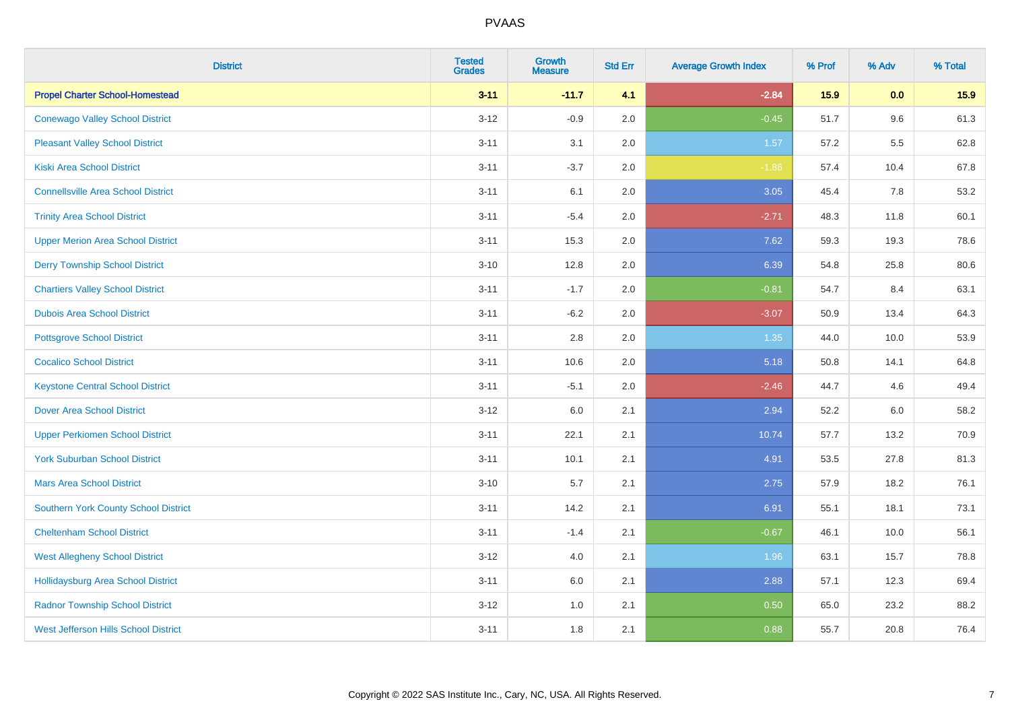| <b>District</b>                             | <b>Tested</b><br><b>Grades</b> | Growth<br><b>Measure</b> | <b>Std Err</b> | <b>Average Growth Index</b> | % Prof | % Adv | % Total |
|---------------------------------------------|--------------------------------|--------------------------|----------------|-----------------------------|--------|-------|---------|
| <b>Propel Charter School-Homestead</b>      | $3 - 11$                       | $-11.7$                  | 4.1            | $-2.84$                     | 15.9   | 0.0   | 15.9    |
| <b>Conewago Valley School District</b>      | $3 - 12$                       | $-0.9$                   | 2.0            | $-0.45$                     | 51.7   | 9.6   | 61.3    |
| <b>Pleasant Valley School District</b>      | $3 - 11$                       | 3.1                      | 2.0            | 1.57                        | 57.2   | 5.5   | 62.8    |
| <b>Kiski Area School District</b>           | $3 - 11$                       | $-3.7$                   | 2.0            | $-1.86$                     | 57.4   | 10.4  | 67.8    |
| <b>Connellsville Area School District</b>   | $3 - 11$                       | 6.1                      | 2.0            | 3.05                        | 45.4   | 7.8   | 53.2    |
| <b>Trinity Area School District</b>         | $3 - 11$                       | $-5.4$                   | 2.0            | $-2.71$                     | 48.3   | 11.8  | 60.1    |
| <b>Upper Merion Area School District</b>    | $3 - 11$                       | 15.3                     | 2.0            | 7.62                        | 59.3   | 19.3  | 78.6    |
| <b>Derry Township School District</b>       | $3 - 10$                       | 12.8                     | 2.0            | 6.39                        | 54.8   | 25.8  | 80.6    |
| <b>Chartiers Valley School District</b>     | $3 - 11$                       | $-1.7$                   | 2.0            | $-0.81$                     | 54.7   | 8.4   | 63.1    |
| <b>Dubois Area School District</b>          | $3 - 11$                       | $-6.2$                   | 2.0            | $-3.07$                     | 50.9   | 13.4  | 64.3    |
| <b>Pottsgrove School District</b>           | $3 - 11$                       | 2.8                      | 2.0            | 1.35                        | 44.0   | 10.0  | 53.9    |
| <b>Cocalico School District</b>             | $3 - 11$                       | 10.6                     | 2.0            | 5.18                        | 50.8   | 14.1  | 64.8    |
| <b>Keystone Central School District</b>     | $3 - 11$                       | $-5.1$                   | 2.0            | $-2.46$                     | 44.7   | 4.6   | 49.4    |
| <b>Dover Area School District</b>           | $3 - 12$                       | 6.0                      | 2.1            | 2.94                        | 52.2   | 6.0   | 58.2    |
| <b>Upper Perkiomen School District</b>      | $3 - 11$                       | 22.1                     | 2.1            | 10.74                       | 57.7   | 13.2  | 70.9    |
| <b>York Suburban School District</b>        | $3 - 11$                       | 10.1                     | 2.1            | 4.91                        | 53.5   | 27.8  | 81.3    |
| <b>Mars Area School District</b>            | $3 - 10$                       | 5.7                      | 2.1            | 2.75                        | 57.9   | 18.2  | 76.1    |
| Southern York County School District        | $3 - 11$                       | 14.2                     | 2.1            | 6.91                        | 55.1   | 18.1  | 73.1    |
| <b>Cheltenham School District</b>           | $3 - 11$                       | $-1.4$                   | 2.1            | $-0.67$                     | 46.1   | 10.0  | 56.1    |
| <b>West Allegheny School District</b>       | $3 - 12$                       | 4.0                      | 2.1            | 1.96                        | 63.1   | 15.7  | 78.8    |
| <b>Hollidaysburg Area School District</b>   | $3 - 11$                       | 6.0                      | 2.1            | 2.88                        | 57.1   | 12.3  | 69.4    |
| <b>Radnor Township School District</b>      | $3 - 12$                       | 1.0                      | 2.1            | 0.50                        | 65.0   | 23.2  | 88.2    |
| <b>West Jefferson Hills School District</b> | $3 - 11$                       | 1.8                      | 2.1            | 0.88                        | 55.7   | 20.8  | 76.4    |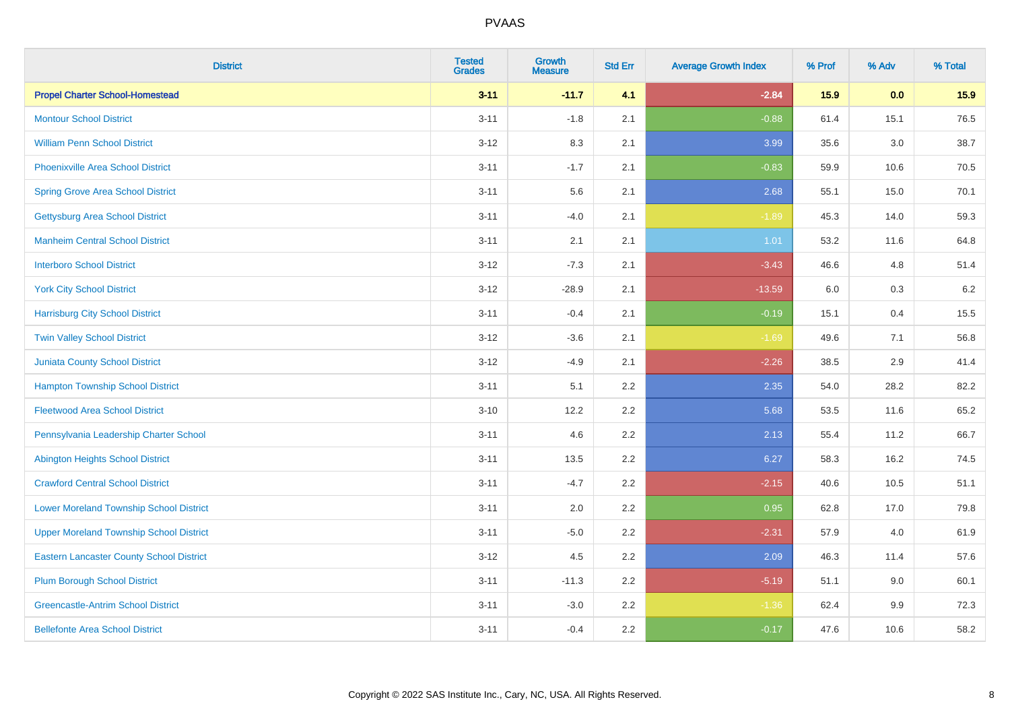| <b>District</b>                                 | <b>Tested</b><br><b>Grades</b> | <b>Growth</b><br><b>Measure</b> | <b>Std Err</b> | <b>Average Growth Index</b> | % Prof | % Adv   | % Total |
|-------------------------------------------------|--------------------------------|---------------------------------|----------------|-----------------------------|--------|---------|---------|
| <b>Propel Charter School-Homestead</b>          | $3 - 11$                       | $-11.7$                         | 4.1            | $-2.84$                     | 15.9   | 0.0     | 15.9    |
| <b>Montour School District</b>                  | $3 - 11$                       | $-1.8$                          | 2.1            | $-0.88$                     | 61.4   | 15.1    | 76.5    |
| <b>William Penn School District</b>             | $3 - 12$                       | 8.3                             | 2.1            | 3.99                        | 35.6   | 3.0     | 38.7    |
| <b>Phoenixville Area School District</b>        | $3 - 11$                       | $-1.7$                          | 2.1            | $-0.83$                     | 59.9   | 10.6    | 70.5    |
| <b>Spring Grove Area School District</b>        | $3 - 11$                       | 5.6                             | 2.1            | 2.68                        | 55.1   | 15.0    | 70.1    |
| <b>Gettysburg Area School District</b>          | $3 - 11$                       | $-4.0$                          | 2.1            | $-1.89$                     | 45.3   | 14.0    | 59.3    |
| <b>Manheim Central School District</b>          | $3 - 11$                       | 2.1                             | 2.1            | $1.01$                      | 53.2   | 11.6    | 64.8    |
| <b>Interboro School District</b>                | $3 - 12$                       | $-7.3$                          | 2.1            | $-3.43$                     | 46.6   | 4.8     | 51.4    |
| <b>York City School District</b>                | $3 - 12$                       | $-28.9$                         | 2.1            | $-13.59$                    | 6.0    | $0.3\,$ | 6.2     |
| <b>Harrisburg City School District</b>          | $3 - 11$                       | $-0.4$                          | 2.1            | $-0.19$                     | 15.1   | 0.4     | 15.5    |
| <b>Twin Valley School District</b>              | $3 - 12$                       | $-3.6$                          | 2.1            | $-1.69$                     | 49.6   | 7.1     | 56.8    |
| <b>Juniata County School District</b>           | $3 - 12$                       | $-4.9$                          | 2.1            | $-2.26$                     | 38.5   | 2.9     | 41.4    |
| <b>Hampton Township School District</b>         | $3 - 11$                       | 5.1                             | 2.2            | 2.35                        | 54.0   | 28.2    | 82.2    |
| <b>Fleetwood Area School District</b>           | $3 - 10$                       | 12.2                            | 2.2            | 5.68                        | 53.5   | 11.6    | 65.2    |
| Pennsylvania Leadership Charter School          | $3 - 11$                       | 4.6                             | 2.2            | 2.13                        | 55.4   | 11.2    | 66.7    |
| <b>Abington Heights School District</b>         | $3 - 11$                       | 13.5                            | 2.2            | 6.27                        | 58.3   | 16.2    | 74.5    |
| <b>Crawford Central School District</b>         | $3 - 11$                       | $-4.7$                          | 2.2            | $-2.15$                     | 40.6   | 10.5    | 51.1    |
| <b>Lower Moreland Township School District</b>  | $3 - 11$                       | 2.0                             | 2.2            | 0.95                        | 62.8   | 17.0    | 79.8    |
| <b>Upper Moreland Township School District</b>  | $3 - 11$                       | $-5.0$                          | 2.2            | $-2.31$                     | 57.9   | 4.0     | 61.9    |
| <b>Eastern Lancaster County School District</b> | $3 - 12$                       | 4.5                             | 2.2            | 2.09                        | 46.3   | 11.4    | 57.6    |
| <b>Plum Borough School District</b>             | $3 - 11$                       | $-11.3$                         | 2.2            | $-5.19$                     | 51.1   | 9.0     | 60.1    |
| <b>Greencastle-Antrim School District</b>       | $3 - 11$                       | $-3.0$                          | 2.2            | $-1.36$                     | 62.4   | 9.9     | 72.3    |
| <b>Bellefonte Area School District</b>          | $3 - 11$                       | $-0.4$                          | 2.2            | $-0.17$                     | 47.6   | 10.6    | 58.2    |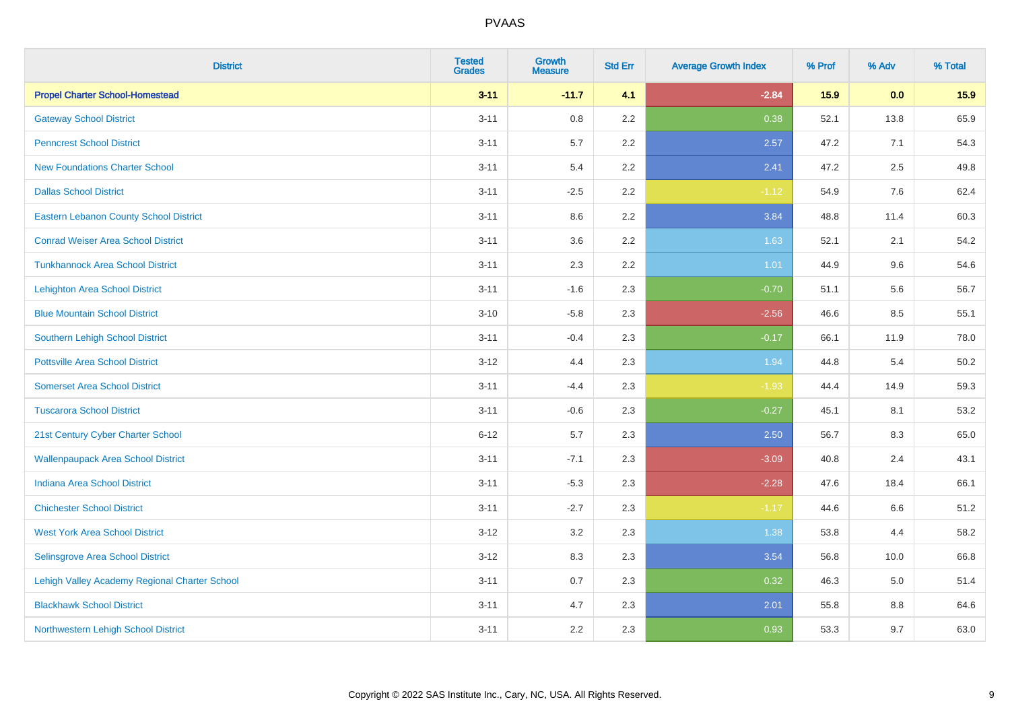| <b>District</b>                               | <b>Tested</b><br><b>Grades</b> | Growth<br><b>Measure</b> | <b>Std Err</b> | <b>Average Growth Index</b> | % Prof | % Adv | % Total |
|-----------------------------------------------|--------------------------------|--------------------------|----------------|-----------------------------|--------|-------|---------|
| <b>Propel Charter School-Homestead</b>        | $3 - 11$                       | $-11.7$                  | 4.1            | $-2.84$                     | 15.9   | 0.0   | 15.9    |
| <b>Gateway School District</b>                | $3 - 11$                       | 0.8                      | 2.2            | 0.38                        | 52.1   | 13.8  | 65.9    |
| <b>Penncrest School District</b>              | $3 - 11$                       | 5.7                      | 2.2            | 2.57                        | 47.2   | 7.1   | 54.3    |
| <b>New Foundations Charter School</b>         | $3 - 11$                       | 5.4                      | 2.2            | 2.41                        | 47.2   | 2.5   | 49.8    |
| <b>Dallas School District</b>                 | $3 - 11$                       | $-2.5$                   | 2.2            | $-1.12$                     | 54.9   | 7.6   | 62.4    |
| <b>Eastern Lebanon County School District</b> | $3 - 11$                       | 8.6                      | 2.2            | 3.84                        | 48.8   | 11.4  | 60.3    |
| <b>Conrad Weiser Area School District</b>     | $3 - 11$                       | 3.6                      | 2.2            | 1.63                        | 52.1   | 2.1   | 54.2    |
| <b>Tunkhannock Area School District</b>       | $3 - 11$                       | 2.3                      | 2.2            | 1.01                        | 44.9   | 9.6   | 54.6    |
| <b>Lehighton Area School District</b>         | $3 - 11$                       | $-1.6$                   | 2.3            | $-0.70$                     | 51.1   | 5.6   | 56.7    |
| <b>Blue Mountain School District</b>          | $3 - 10$                       | $-5.8$                   | 2.3            | $-2.56$                     | 46.6   | 8.5   | 55.1    |
| Southern Lehigh School District               | $3 - 11$                       | $-0.4$                   | 2.3            | $-0.17$                     | 66.1   | 11.9  | 78.0    |
| <b>Pottsville Area School District</b>        | $3 - 12$                       | 4.4                      | 2.3            | 1.94                        | 44.8   | 5.4   | 50.2    |
| <b>Somerset Area School District</b>          | $3 - 11$                       | $-4.4$                   | 2.3            | $-1.93$                     | 44.4   | 14.9  | 59.3    |
| <b>Tuscarora School District</b>              | $3 - 11$                       | $-0.6$                   | 2.3            | $-0.27$                     | 45.1   | 8.1   | 53.2    |
| 21st Century Cyber Charter School             | $6 - 12$                       | 5.7                      | 2.3            | 2.50                        | 56.7   | 8.3   | 65.0    |
| <b>Wallenpaupack Area School District</b>     | $3 - 11$                       | $-7.1$                   | 2.3            | $-3.09$                     | 40.8   | 2.4   | 43.1    |
| <b>Indiana Area School District</b>           | $3 - 11$                       | $-5.3$                   | 2.3            | $-2.28$                     | 47.6   | 18.4  | 66.1    |
| <b>Chichester School District</b>             | $3 - 11$                       | $-2.7$                   | 2.3            | $-1.17$                     | 44.6   | 6.6   | 51.2    |
| <b>West York Area School District</b>         | $3 - 12$                       | 3.2                      | 2.3            | 1.38                        | 53.8   | 4.4   | 58.2    |
| Selinsgrove Area School District              | $3 - 12$                       | 8.3                      | 2.3            | 3.54                        | 56.8   | 10.0  | 66.8    |
| Lehigh Valley Academy Regional Charter School | $3 - 11$                       | 0.7                      | 2.3            | 0.32                        | 46.3   | 5.0   | 51.4    |
| <b>Blackhawk School District</b>              | $3 - 11$                       | 4.7                      | 2.3            | 2.01                        | 55.8   | 8.8   | 64.6    |
| Northwestern Lehigh School District           | $3 - 11$                       | 2.2                      | 2.3            | 0.93                        | 53.3   | 9.7   | 63.0    |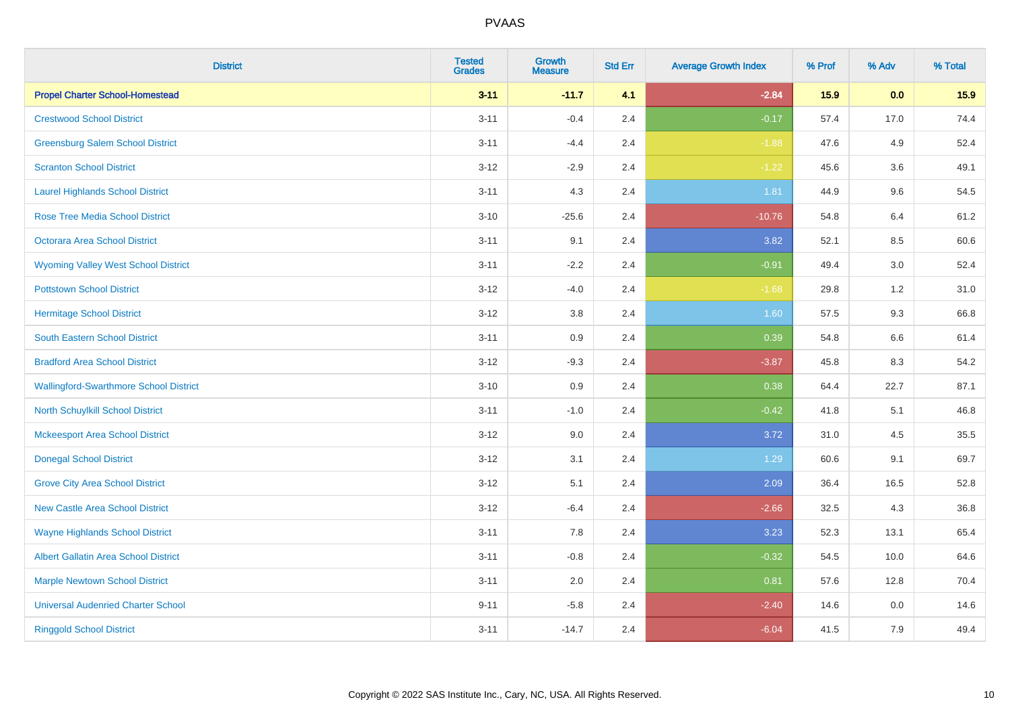| <b>District</b>                               | <b>Tested</b><br><b>Grades</b> | <b>Growth</b><br><b>Measure</b> | <b>Std Err</b> | <b>Average Growth Index</b> | % Prof | % Adv   | % Total |
|-----------------------------------------------|--------------------------------|---------------------------------|----------------|-----------------------------|--------|---------|---------|
| <b>Propel Charter School-Homestead</b>        | $3 - 11$                       | $-11.7$                         | 4.1            | $-2.84$                     | 15.9   | 0.0     | 15.9    |
| <b>Crestwood School District</b>              | $3 - 11$                       | $-0.4$                          | 2.4            | $-0.17$                     | 57.4   | 17.0    | 74.4    |
| <b>Greensburg Salem School District</b>       | $3 - 11$                       | $-4.4$                          | 2.4            | $-1.88$                     | 47.6   | 4.9     | 52.4    |
| <b>Scranton School District</b>               | $3 - 12$                       | $-2.9$                          | 2.4            | $-1.22$                     | 45.6   | 3.6     | 49.1    |
| <b>Laurel Highlands School District</b>       | $3 - 11$                       | 4.3                             | 2.4            | 1.81                        | 44.9   | 9.6     | 54.5    |
| <b>Rose Tree Media School District</b>        | $3 - 10$                       | $-25.6$                         | 2.4            | $-10.76$                    | 54.8   | 6.4     | 61.2    |
| <b>Octorara Area School District</b>          | $3 - 11$                       | 9.1                             | 2.4            | 3.82                        | 52.1   | 8.5     | 60.6    |
| <b>Wyoming Valley West School District</b>    | $3 - 11$                       | $-2.2$                          | 2.4            | $-0.91$                     | 49.4   | 3.0     | 52.4    |
| <b>Pottstown School District</b>              | $3 - 12$                       | $-4.0$                          | 2.4            | $-1.68$                     | 29.8   | 1.2     | 31.0    |
| <b>Hermitage School District</b>              | $3 - 12$                       | 3.8                             | 2.4            | 1.60                        | 57.5   | 9.3     | 66.8    |
| South Eastern School District                 | $3 - 11$                       | 0.9                             | 2.4            | 0.39                        | 54.8   | 6.6     | 61.4    |
| <b>Bradford Area School District</b>          | $3-12$                         | $-9.3$                          | 2.4            | $-3.87$                     | 45.8   | 8.3     | 54.2    |
| <b>Wallingford-Swarthmore School District</b> | $3 - 10$                       | 0.9                             | 2.4            | 0.38                        | 64.4   | 22.7    | 87.1    |
| <b>North Schuylkill School District</b>       | $3 - 11$                       | $-1.0$                          | 2.4            | $-0.42$                     | 41.8   | 5.1     | 46.8    |
| <b>Mckeesport Area School District</b>        | $3 - 12$                       | 9.0                             | 2.4            | 3.72                        | 31.0   | 4.5     | 35.5    |
| <b>Donegal School District</b>                | $3 - 12$                       | 3.1                             | 2.4            | 1.29                        | 60.6   | 9.1     | 69.7    |
| <b>Grove City Area School District</b>        | $3 - 12$                       | 5.1                             | 2.4            | 2.09                        | 36.4   | 16.5    | 52.8    |
| <b>New Castle Area School District</b>        | $3 - 12$                       | $-6.4$                          | 2.4            | $-2.66$                     | 32.5   | 4.3     | 36.8    |
| <b>Wayne Highlands School District</b>        | $3 - 11$                       | 7.8                             | 2.4            | 3.23                        | 52.3   | 13.1    | 65.4    |
| Albert Gallatin Area School District          | $3 - 11$                       | $-0.8$                          | 2.4            | $-0.32$                     | 54.5   | 10.0    | 64.6    |
| <b>Marple Newtown School District</b>         | $3 - 11$                       | 2.0                             | 2.4            | 0.81                        | 57.6   | 12.8    | 70.4    |
| <b>Universal Audenried Charter School</b>     | $9 - 11$                       | $-5.8$                          | 2.4            | $-2.40$                     | 14.6   | $0.0\,$ | 14.6    |
| <b>Ringgold School District</b>               | $3 - 11$                       | $-14.7$                         | 2.4            | $-6.04$                     | 41.5   | 7.9     | 49.4    |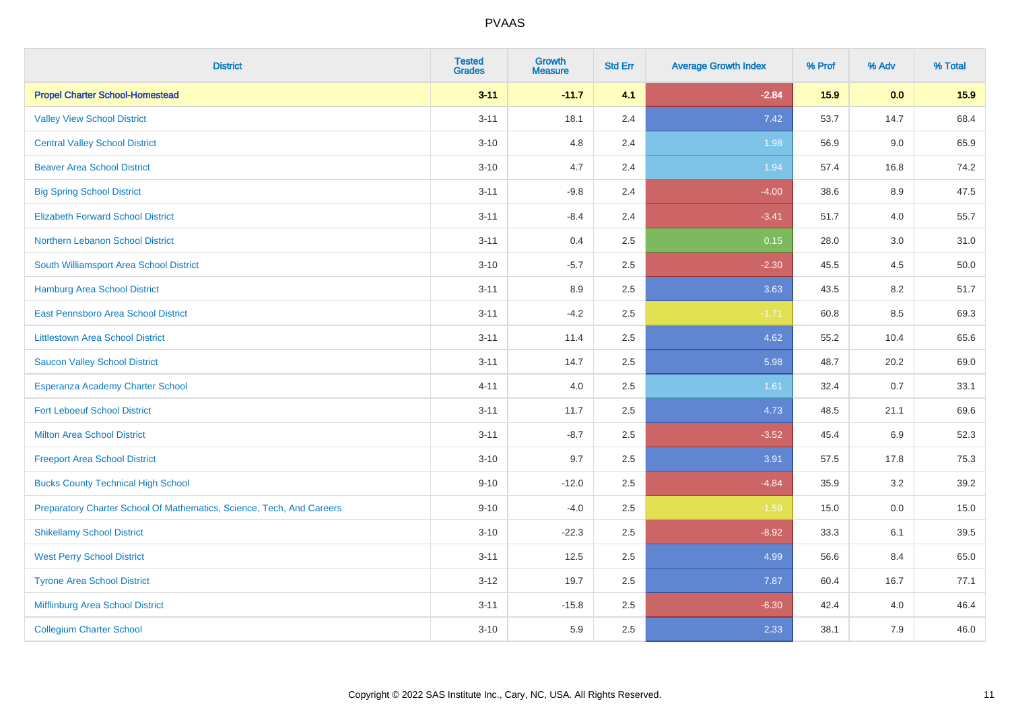| <b>District</b>                                                       | <b>Tested</b><br><b>Grades</b> | <b>Growth</b><br><b>Measure</b> | <b>Std Err</b> | <b>Average Growth Index</b> | % Prof | % Adv   | % Total |
|-----------------------------------------------------------------------|--------------------------------|---------------------------------|----------------|-----------------------------|--------|---------|---------|
| <b>Propel Charter School-Homestead</b>                                | $3 - 11$                       | $-11.7$                         | 4.1            | $-2.84$                     | 15.9   | 0.0     | 15.9    |
| <b>Valley View School District</b>                                    | $3 - 11$                       | 18.1                            | 2.4            | 7.42                        | 53.7   | 14.7    | 68.4    |
| <b>Central Valley School District</b>                                 | $3 - 10$                       | 4.8                             | 2.4            | 1.98                        | 56.9   | 9.0     | 65.9    |
| <b>Beaver Area School District</b>                                    | $3 - 10$                       | 4.7                             | 2.4            | 1.94                        | 57.4   | 16.8    | 74.2    |
| <b>Big Spring School District</b>                                     | $3 - 11$                       | $-9.8$                          | 2.4            | $-4.00$                     | 38.6   | 8.9     | 47.5    |
| <b>Elizabeth Forward School District</b>                              | $3 - 11$                       | $-8.4$                          | 2.4            | $-3.41$                     | 51.7   | 4.0     | 55.7    |
| Northern Lebanon School District                                      | $3 - 11$                       | 0.4                             | 2.5            | 0.15                        | 28.0   | $3.0\,$ | 31.0    |
| South Williamsport Area School District                               | $3 - 10$                       | $-5.7$                          | 2.5            | $-2.30$                     | 45.5   | 4.5     | 50.0    |
| Hamburg Area School District                                          | $3 - 11$                       | 8.9                             | 2.5            | 3.63                        | 43.5   | 8.2     | 51.7    |
| <b>East Pennsboro Area School District</b>                            | $3 - 11$                       | $-4.2$                          | 2.5            | $-1.71$                     | 60.8   | 8.5     | 69.3    |
| <b>Littlestown Area School District</b>                               | $3 - 11$                       | 11.4                            | 2.5            | 4.62                        | 55.2   | 10.4    | 65.6    |
| <b>Saucon Valley School District</b>                                  | $3 - 11$                       | 14.7                            | 2.5            | 5.98                        | 48.7   | 20.2    | 69.0    |
| Esperanza Academy Charter School                                      | $4 - 11$                       | 4.0                             | 2.5            | 1.61                        | 32.4   | 0.7     | 33.1    |
| <b>Fort Leboeuf School District</b>                                   | $3 - 11$                       | 11.7                            | 2.5            | 4.73                        | 48.5   | 21.1    | 69.6    |
| <b>Milton Area School District</b>                                    | $3 - 11$                       | $-8.7$                          | 2.5            | $-3.52$                     | 45.4   | 6.9     | 52.3    |
| <b>Freeport Area School District</b>                                  | $3 - 10$                       | 9.7                             | 2.5            | 3.91                        | 57.5   | 17.8    | 75.3    |
| <b>Bucks County Technical High School</b>                             | $9 - 10$                       | $-12.0$                         | 2.5            | $-4.84$                     | 35.9   | 3.2     | 39.2    |
| Preparatory Charter School Of Mathematics, Science, Tech, And Careers | $9 - 10$                       | $-4.0$                          | 2.5            | $-1.59$                     | 15.0   | 0.0     | 15.0    |
| <b>Shikellamy School District</b>                                     | $3 - 10$                       | $-22.3$                         | 2.5            | $-8.92$                     | 33.3   | 6.1     | 39.5    |
| <b>West Perry School District</b>                                     | $3 - 11$                       | 12.5                            | 2.5            | 4.99                        | 56.6   | 8.4     | 65.0    |
| <b>Tyrone Area School District</b>                                    | $3 - 12$                       | 19.7                            | 2.5            | 7.87                        | 60.4   | 16.7    | 77.1    |
| Mifflinburg Area School District                                      | $3 - 11$                       | $-15.8$                         | 2.5            | $-6.30$                     | 42.4   | 4.0     | 46.4    |
| <b>Collegium Charter School</b>                                       | $3 - 10$                       | 5.9                             | 2.5            | 2.33                        | 38.1   | 7.9     | 46.0    |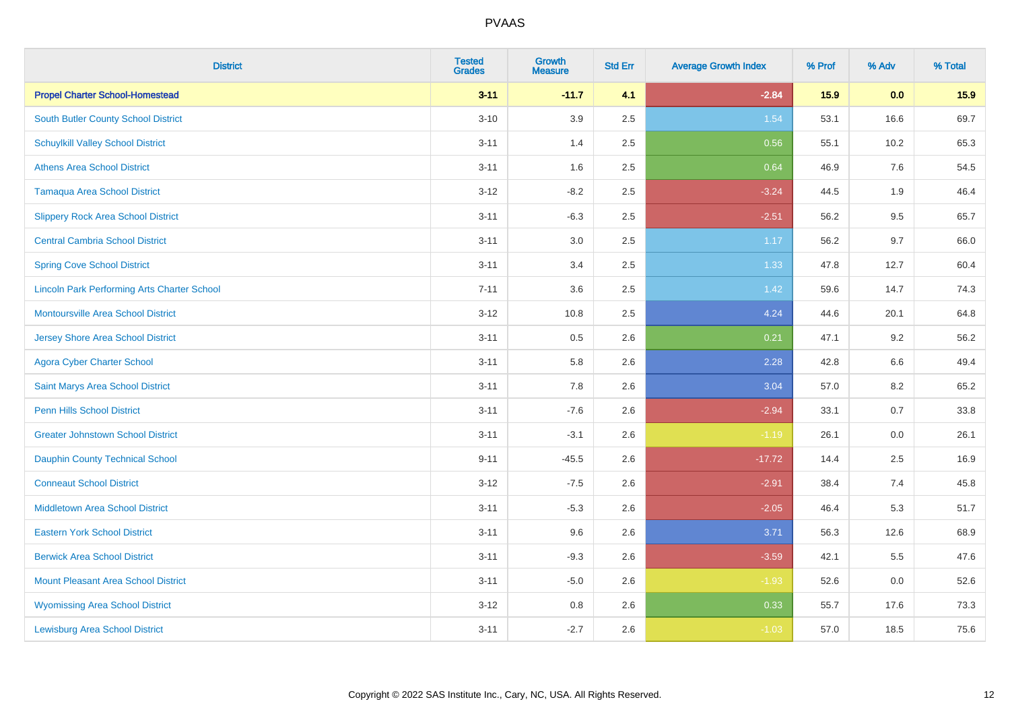| <b>District</b>                                    | <b>Tested</b><br><b>Grades</b> | Growth<br><b>Measure</b> | <b>Std Err</b> | <b>Average Growth Index</b> | % Prof | % Adv   | % Total |
|----------------------------------------------------|--------------------------------|--------------------------|----------------|-----------------------------|--------|---------|---------|
| <b>Propel Charter School-Homestead</b>             | $3 - 11$                       | $-11.7$                  | 4.1            | $-2.84$                     | 15.9   | 0.0     | 15.9    |
| South Butler County School District                | $3 - 10$                       | 3.9                      | 2.5            | 1.54                        | 53.1   | 16.6    | 69.7    |
| <b>Schuylkill Valley School District</b>           | $3 - 11$                       | 1.4                      | 2.5            | 0.56                        | 55.1   | 10.2    | 65.3    |
| <b>Athens Area School District</b>                 | $3 - 11$                       | 1.6                      | 2.5            | 0.64                        | 46.9   | $7.6\,$ | 54.5    |
| <b>Tamaqua Area School District</b>                | $3 - 12$                       | $-8.2$                   | 2.5            | $-3.24$                     | 44.5   | 1.9     | 46.4    |
| <b>Slippery Rock Area School District</b>          | $3 - 11$                       | $-6.3$                   | 2.5            | $-2.51$                     | 56.2   | 9.5     | 65.7    |
| <b>Central Cambria School District</b>             | $3 - 11$                       | $3.0\,$                  | 2.5            | 1.17                        | 56.2   | 9.7     | 66.0    |
| <b>Spring Cove School District</b>                 | $3 - 11$                       | 3.4                      | 2.5            | 1.33                        | 47.8   | 12.7    | 60.4    |
| <b>Lincoln Park Performing Arts Charter School</b> | $7 - 11$                       | 3.6                      | 2.5            | 1.42                        | 59.6   | 14.7    | 74.3    |
| <b>Montoursville Area School District</b>          | $3 - 12$                       | 10.8                     | 2.5            | 4.24                        | 44.6   | 20.1    | 64.8    |
| <b>Jersey Shore Area School District</b>           | $3 - 11$                       | 0.5                      | 2.6            | 0.21                        | 47.1   | 9.2     | 56.2    |
| <b>Agora Cyber Charter School</b>                  | $3 - 11$                       | 5.8                      | 2.6            | 2.28                        | 42.8   | $6.6\,$ | 49.4    |
| Saint Marys Area School District                   | $3 - 11$                       | 7.8                      | 2.6            | 3.04                        | 57.0   | 8.2     | 65.2    |
| <b>Penn Hills School District</b>                  | $3 - 11$                       | $-7.6$                   | 2.6            | $-2.94$                     | 33.1   | 0.7     | 33.8    |
| <b>Greater Johnstown School District</b>           | $3 - 11$                       | $-3.1$                   | 2.6            | $-1.19$                     | 26.1   | 0.0     | 26.1    |
| <b>Dauphin County Technical School</b>             | $9 - 11$                       | $-45.5$                  | 2.6            | $-17.72$                    | 14.4   | 2.5     | 16.9    |
| <b>Conneaut School District</b>                    | $3 - 12$                       | $-7.5$                   | 2.6            | $-2.91$                     | 38.4   | 7.4     | 45.8    |
| Middletown Area School District                    | $3 - 11$                       | $-5.3$                   | 2.6            | $-2.05$                     | 46.4   | 5.3     | 51.7    |
| <b>Eastern York School District</b>                | $3 - 11$                       | 9.6                      | 2.6            | 3.71                        | 56.3   | 12.6    | 68.9    |
| <b>Berwick Area School District</b>                | $3 - 11$                       | $-9.3$                   | 2.6            | $-3.59$                     | 42.1   | 5.5     | 47.6    |
| <b>Mount Pleasant Area School District</b>         | $3 - 11$                       | $-5.0$                   | 2.6            | $-1.93$                     | 52.6   | 0.0     | 52.6    |
| <b>Wyomissing Area School District</b>             | $3 - 12$                       | 0.8                      | 2.6            | 0.33                        | 55.7   | 17.6    | 73.3    |
| <b>Lewisburg Area School District</b>              | $3 - 11$                       | $-2.7$                   | 2.6            | $-1.03$                     | 57.0   | 18.5    | 75.6    |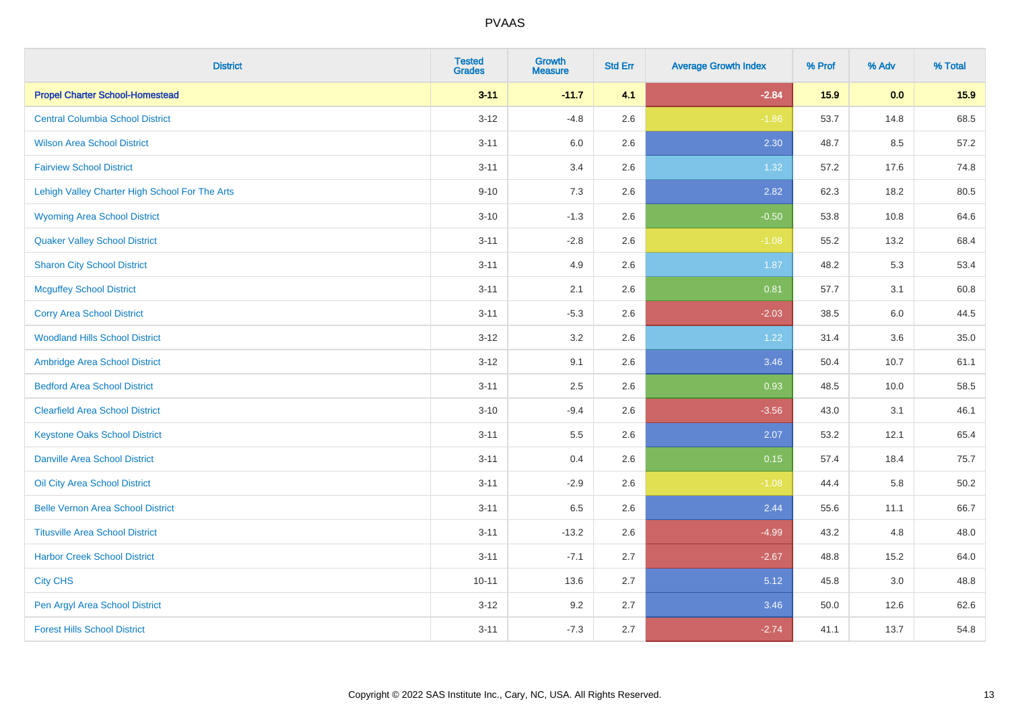| <b>District</b>                                | <b>Tested</b><br><b>Grades</b> | <b>Growth</b><br><b>Measure</b> | <b>Std Err</b> | <b>Average Growth Index</b> | % Prof | % Adv | % Total |
|------------------------------------------------|--------------------------------|---------------------------------|----------------|-----------------------------|--------|-------|---------|
| <b>Propel Charter School-Homestead</b>         | $3 - 11$                       | $-11.7$                         | 4.1            | $-2.84$                     | 15.9   | 0.0   | 15.9    |
| <b>Central Columbia School District</b>        | $3 - 12$                       | $-4.8$                          | 2.6            | $-1.86$                     | 53.7   | 14.8  | 68.5    |
| <b>Wilson Area School District</b>             | $3 - 11$                       | 6.0                             | 2.6            | 2.30                        | 48.7   | 8.5   | 57.2    |
| <b>Fairview School District</b>                | $3 - 11$                       | 3.4                             | 2.6            | 1.32                        | 57.2   | 17.6  | 74.8    |
| Lehigh Valley Charter High School For The Arts | $9 - 10$                       | 7.3                             | 2.6            | 2.82                        | 62.3   | 18.2  | 80.5    |
| <b>Wyoming Area School District</b>            | $3 - 10$                       | $-1.3$                          | 2.6            | $-0.50$                     | 53.8   | 10.8  | 64.6    |
| <b>Quaker Valley School District</b>           | $3 - 11$                       | $-2.8$                          | 2.6            | $-1.08$                     | 55.2   | 13.2  | 68.4    |
| <b>Sharon City School District</b>             | $3 - 11$                       | 4.9                             | 2.6            | 1.87                        | 48.2   | 5.3   | 53.4    |
| <b>Mcguffey School District</b>                | $3 - 11$                       | 2.1                             | 2.6            | 0.81                        | 57.7   | 3.1   | 60.8    |
| <b>Corry Area School District</b>              | $3 - 11$                       | $-5.3$                          | 2.6            | $-2.03$                     | 38.5   | 6.0   | 44.5    |
| <b>Woodland Hills School District</b>          | $3 - 12$                       | 3.2                             | 2.6            | 1.22                        | 31.4   | 3.6   | 35.0    |
| Ambridge Area School District                  | $3-12$                         | 9.1                             | 2.6            | 3.46                        | 50.4   | 10.7  | 61.1    |
| <b>Bedford Area School District</b>            | $3 - 11$                       | 2.5                             | 2.6            | 0.93                        | 48.5   | 10.0  | 58.5    |
| <b>Clearfield Area School District</b>         | $3 - 10$                       | $-9.4$                          | 2.6            | $-3.56$                     | 43.0   | 3.1   | 46.1    |
| <b>Keystone Oaks School District</b>           | $3 - 11$                       | 5.5                             | 2.6            | 2.07                        | 53.2   | 12.1  | 65.4    |
| <b>Danville Area School District</b>           | $3 - 11$                       | 0.4                             | 2.6            | 0.15                        | 57.4   | 18.4  | 75.7    |
| Oil City Area School District                  | $3 - 11$                       | $-2.9$                          | 2.6            | $-1.08$                     | 44.4   | 5.8   | 50.2    |
| <b>Belle Vernon Area School District</b>       | $3 - 11$                       | 6.5                             | 2.6            | 2.44                        | 55.6   | 11.1  | 66.7    |
| <b>Titusville Area School District</b>         | $3 - 11$                       | $-13.2$                         | 2.6            | $-4.99$                     | 43.2   | 4.8   | 48.0    |
| <b>Harbor Creek School District</b>            | $3 - 11$                       | $-7.1$                          | 2.7            | $-2.67$                     | 48.8   | 15.2  | 64.0    |
| <b>City CHS</b>                                | $10 - 11$                      | 13.6                            | 2.7            | 5.12                        | 45.8   | 3.0   | 48.8    |
| Pen Argyl Area School District                 | $3 - 12$                       | 9.2                             | 2.7            | 3.46                        | 50.0   | 12.6  | 62.6    |
| <b>Forest Hills School District</b>            | $3 - 11$                       | $-7.3$                          | 2.7            | $-2.74$                     | 41.1   | 13.7  | 54.8    |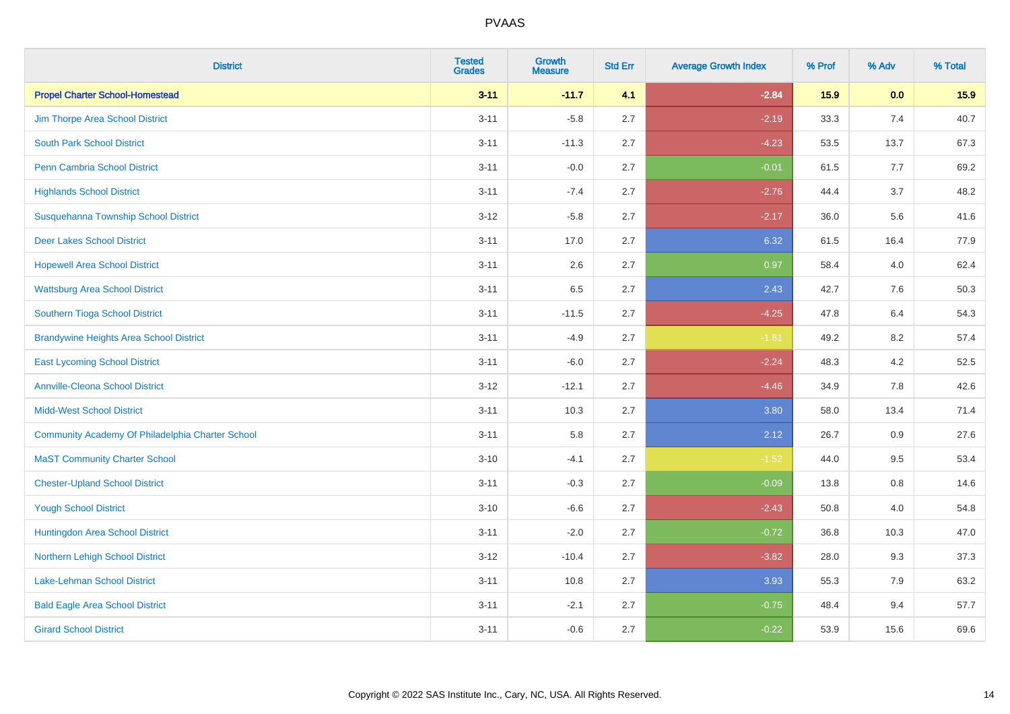| <b>District</b>                                  | <b>Tested</b><br><b>Grades</b> | Growth<br><b>Measure</b> | <b>Std Err</b> | <b>Average Growth Index</b> | % Prof | % Adv | % Total |
|--------------------------------------------------|--------------------------------|--------------------------|----------------|-----------------------------|--------|-------|---------|
| <b>Propel Charter School-Homestead</b>           | $3 - 11$                       | $-11.7$                  | 4.1            | $-2.84$                     | 15.9   | 0.0   | 15.9    |
| Jim Thorpe Area School District                  | $3 - 11$                       | $-5.8$                   | 2.7            | $-2.19$                     | 33.3   | 7.4   | 40.7    |
| <b>South Park School District</b>                | $3 - 11$                       | $-11.3$                  | 2.7            | $-4.23$                     | 53.5   | 13.7  | 67.3    |
| <b>Penn Cambria School District</b>              | $3 - 11$                       | $-0.0$                   | 2.7            | $-0.01$                     | 61.5   | 7.7   | 69.2    |
| <b>Highlands School District</b>                 | $3 - 11$                       | $-7.4$                   | 2.7            | $-2.76$                     | 44.4   | 3.7   | 48.2    |
| Susquehanna Township School District             | $3 - 12$                       | $-5.8$                   | 2.7            | $-2.17$                     | 36.0   | 5.6   | 41.6    |
| <b>Deer Lakes School District</b>                | $3 - 11$                       | 17.0                     | 2.7            | 6.32                        | 61.5   | 16.4  | 77.9    |
| <b>Hopewell Area School District</b>             | $3 - 11$                       | 2.6                      | 2.7            | 0.97                        | 58.4   | 4.0   | 62.4    |
| <b>Wattsburg Area School District</b>            | $3 - 11$                       | 6.5                      | 2.7            | 2.43                        | 42.7   | 7.6   | 50.3    |
| Southern Tioga School District                   | $3 - 11$                       | $-11.5$                  | 2.7            | $-4.25$                     | 47.8   | 6.4   | 54.3    |
| <b>Brandywine Heights Area School District</b>   | $3 - 11$                       | $-4.9$                   | 2.7            | $-1.81$                     | 49.2   | 8.2   | 57.4    |
| <b>East Lycoming School District</b>             | $3 - 11$                       | $-6.0$                   | 2.7            | $-2.24$                     | 48.3   | 4.2   | 52.5    |
| <b>Annville-Cleona School District</b>           | $3 - 12$                       | $-12.1$                  | 2.7            | $-4.46$                     | 34.9   | 7.8   | 42.6    |
| <b>Midd-West School District</b>                 | $3 - 11$                       | 10.3                     | 2.7            | 3.80                        | 58.0   | 13.4  | 71.4    |
| Community Academy Of Philadelphia Charter School | $3 - 11$                       | 5.8                      | 2.7            | 2.12                        | 26.7   | 0.9   | 27.6    |
| <b>MaST Community Charter School</b>             | $3 - 10$                       | $-4.1$                   | 2.7            | $-1.52$                     | 44.0   | 9.5   | 53.4    |
| <b>Chester-Upland School District</b>            | $3 - 11$                       | $-0.3$                   | 2.7            | $-0.09$                     | 13.8   | 0.8   | 14.6    |
| <b>Yough School District</b>                     | $3 - 10$                       | $-6.6$                   | 2.7            | $-2.43$                     | 50.8   | 4.0   | 54.8    |
| Huntingdon Area School District                  | $3 - 11$                       | $-2.0$                   | 2.7            | $-0.72$                     | 36.8   | 10.3  | 47.0    |
| Northern Lehigh School District                  | $3 - 12$                       | $-10.4$                  | 2.7            | $-3.82$                     | 28.0   | 9.3   | 37.3    |
| Lake-Lehman School District                      | $3 - 11$                       | 10.8                     | 2.7            | 3.93                        | 55.3   | 7.9   | 63.2    |
| <b>Bald Eagle Area School District</b>           | $3 - 11$                       | $-2.1$                   | 2.7            | $-0.75$                     | 48.4   | 9.4   | 57.7    |
| <b>Girard School District</b>                    | $3 - 11$                       | $-0.6$                   | 2.7            | $-0.22$                     | 53.9   | 15.6  | 69.6    |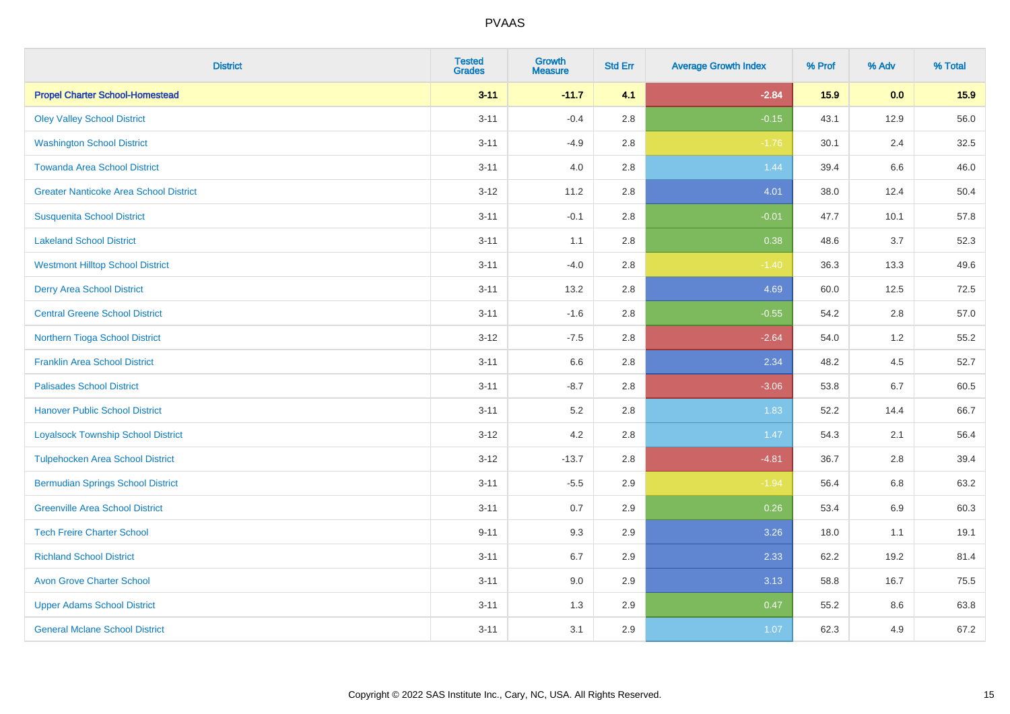| <b>District</b>                               | <b>Tested</b><br><b>Grades</b> | Growth<br><b>Measure</b> | <b>Std Err</b> | <b>Average Growth Index</b> | % Prof | % Adv   | % Total |
|-----------------------------------------------|--------------------------------|--------------------------|----------------|-----------------------------|--------|---------|---------|
| <b>Propel Charter School-Homestead</b>        | $3 - 11$                       | $-11.7$                  | 4.1            | $-2.84$                     | 15.9   | 0.0     | 15.9    |
| <b>Oley Valley School District</b>            | $3 - 11$                       | $-0.4$                   | 2.8            | $-0.15$                     | 43.1   | 12.9    | 56.0    |
| <b>Washington School District</b>             | $3 - 11$                       | $-4.9$                   | 2.8            | $-1.76$                     | 30.1   | 2.4     | 32.5    |
| <b>Towanda Area School District</b>           | $3 - 11$                       | $4.0\,$                  | 2.8            | 1.44                        | 39.4   | $6.6\,$ | 46.0    |
| <b>Greater Nanticoke Area School District</b> | $3 - 12$                       | 11.2                     | 2.8            | 4.01                        | 38.0   | 12.4    | 50.4    |
| <b>Susquenita School District</b>             | $3 - 11$                       | $-0.1$                   | 2.8            | $-0.01$                     | 47.7   | 10.1    | 57.8    |
| <b>Lakeland School District</b>               | $3 - 11$                       | 1.1                      | 2.8            | 0.38                        | 48.6   | 3.7     | 52.3    |
| <b>Westmont Hilltop School District</b>       | $3 - 11$                       | $-4.0$                   | 2.8            | $-1.40$                     | 36.3   | 13.3    | 49.6    |
| <b>Derry Area School District</b>             | $3 - 11$                       | 13.2                     | 2.8            | 4.69                        | 60.0   | 12.5    | 72.5    |
| <b>Central Greene School District</b>         | $3 - 11$                       | $-1.6$                   | 2.8            | $-0.55$                     | 54.2   | 2.8     | 57.0    |
| Northern Tioga School District                | $3-12$                         | $-7.5$                   | 2.8            | $-2.64$                     | 54.0   | 1.2     | 55.2    |
| <b>Franklin Area School District</b>          | $3 - 11$                       | 6.6                      | 2.8            | 2.34                        | 48.2   | 4.5     | 52.7    |
| <b>Palisades School District</b>              | $3 - 11$                       | $-8.7$                   | 2.8            | $-3.06$                     | 53.8   | 6.7     | 60.5    |
| <b>Hanover Public School District</b>         | $3 - 11$                       | 5.2                      | 2.8            | 1.83                        | 52.2   | 14.4    | 66.7    |
| <b>Loyalsock Township School District</b>     | $3-12$                         | 4.2                      | 2.8            | 1.47                        | 54.3   | 2.1     | 56.4    |
| <b>Tulpehocken Area School District</b>       | $3-12$                         | $-13.7$                  | 2.8            | $-4.81$                     | 36.7   | 2.8     | 39.4    |
| <b>Bermudian Springs School District</b>      | $3 - 11$                       | $-5.5$                   | 2.9            | $-1.94$                     | 56.4   | 6.8     | 63.2    |
| <b>Greenville Area School District</b>        | $3 - 11$                       | 0.7                      | 2.9            | 0.26                        | 53.4   | 6.9     | 60.3    |
| <b>Tech Freire Charter School</b>             | $9 - 11$                       | 9.3                      | 2.9            | 3.26                        | 18.0   | 1.1     | 19.1    |
| <b>Richland School District</b>               | $3 - 11$                       | 6.7                      | 2.9            | 2.33                        | 62.2   | 19.2    | 81.4    |
| <b>Avon Grove Charter School</b>              | $3 - 11$                       | 9.0                      | 2.9            | 3.13                        | 58.8   | 16.7    | 75.5    |
| <b>Upper Adams School District</b>            | $3 - 11$                       | 1.3                      | 2.9            | 0.47                        | 55.2   | 8.6     | 63.8    |
| <b>General Mclane School District</b>         | $3 - 11$                       | 3.1                      | 2.9            | 1.07                        | 62.3   | 4.9     | 67.2    |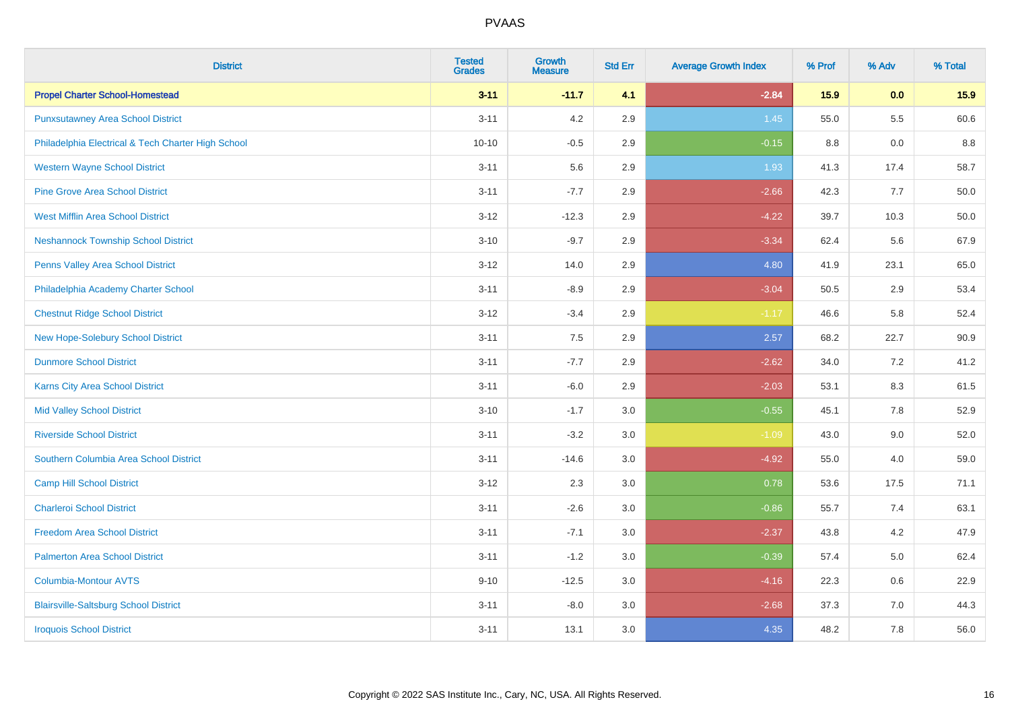| <b>District</b>                                    | <b>Tested</b><br><b>Grades</b> | <b>Growth</b><br><b>Measure</b> | <b>Std Err</b> | <b>Average Growth Index</b> | % Prof | % Adv   | % Total |
|----------------------------------------------------|--------------------------------|---------------------------------|----------------|-----------------------------|--------|---------|---------|
| <b>Propel Charter School-Homestead</b>             | $3 - 11$                       | $-11.7$                         | 4.1            | $-2.84$                     | 15.9   | 0.0     | 15.9    |
| <b>Punxsutawney Area School District</b>           | $3 - 11$                       | 4.2                             | 2.9            | 1.45                        | 55.0   | $5.5\,$ | 60.6    |
| Philadelphia Electrical & Tech Charter High School | $10 - 10$                      | $-0.5$                          | 2.9            | $-0.15$                     | 8.8    | 0.0     | 8.8     |
| <b>Western Wayne School District</b>               | $3 - 11$                       | 5.6                             | 2.9            | 1.93                        | 41.3   | 17.4    | 58.7    |
| <b>Pine Grove Area School District</b>             | $3 - 11$                       | $-7.7$                          | 2.9            | $-2.66$                     | 42.3   | 7.7     | 50.0    |
| <b>West Mifflin Area School District</b>           | $3 - 12$                       | $-12.3$                         | 2.9            | $-4.22$                     | 39.7   | 10.3    | 50.0    |
| <b>Neshannock Township School District</b>         | $3 - 10$                       | $-9.7$                          | 2.9            | $-3.34$                     | 62.4   | 5.6     | 67.9    |
| <b>Penns Valley Area School District</b>           | $3 - 12$                       | 14.0                            | 2.9            | 4.80                        | 41.9   | 23.1    | 65.0    |
| Philadelphia Academy Charter School                | $3 - 11$                       | $-8.9$                          | 2.9            | $-3.04$                     | 50.5   | 2.9     | 53.4    |
| <b>Chestnut Ridge School District</b>              | $3 - 12$                       | $-3.4$                          | 2.9            | $-1.17$                     | 46.6   | 5.8     | 52.4    |
| New Hope-Solebury School District                  | $3 - 11$                       | 7.5                             | 2.9            | 2.57                        | 68.2   | 22.7    | 90.9    |
| <b>Dunmore School District</b>                     | $3 - 11$                       | $-7.7$                          | 2.9            | $-2.62$                     | 34.0   | 7.2     | 41.2    |
| Karns City Area School District                    | $3 - 11$                       | $-6.0$                          | 2.9            | $-2.03$                     | 53.1   | $8.3\,$ | 61.5    |
| <b>Mid Valley School District</b>                  | $3 - 10$                       | $-1.7$                          | 3.0            | $-0.55$                     | 45.1   | $7.8\,$ | 52.9    |
| <b>Riverside School District</b>                   | $3 - 11$                       | $-3.2$                          | 3.0            | $-1.09$                     | 43.0   | 9.0     | 52.0    |
| Southern Columbia Area School District             | $3 - 11$                       | $-14.6$                         | 3.0            | $-4.92$                     | 55.0   | 4.0     | 59.0    |
| <b>Camp Hill School District</b>                   | $3 - 12$                       | 2.3                             | 3.0            | 0.78                        | 53.6   | 17.5    | 71.1    |
| <b>Charleroi School District</b>                   | $3 - 11$                       | $-2.6$                          | 3.0            | $-0.86$                     | 55.7   | 7.4     | 63.1    |
| <b>Freedom Area School District</b>                | $3 - 11$                       | $-7.1$                          | 3.0            | $-2.37$                     | 43.8   | 4.2     | 47.9    |
| <b>Palmerton Area School District</b>              | $3 - 11$                       | $-1.2$                          | 3.0            | $-0.39$                     | 57.4   | 5.0     | 62.4    |
| <b>Columbia-Montour AVTS</b>                       | $9 - 10$                       | $-12.5$                         | 3.0            | $-4.16$                     | 22.3   | 0.6     | 22.9    |
| <b>Blairsville-Saltsburg School District</b>       | $3 - 11$                       | $-8.0$                          | 3.0            | $-2.68$                     | 37.3   | 7.0     | 44.3    |
| <b>Iroquois School District</b>                    | $3 - 11$                       | 13.1                            | 3.0            | 4.35                        | 48.2   | 7.8     | 56.0    |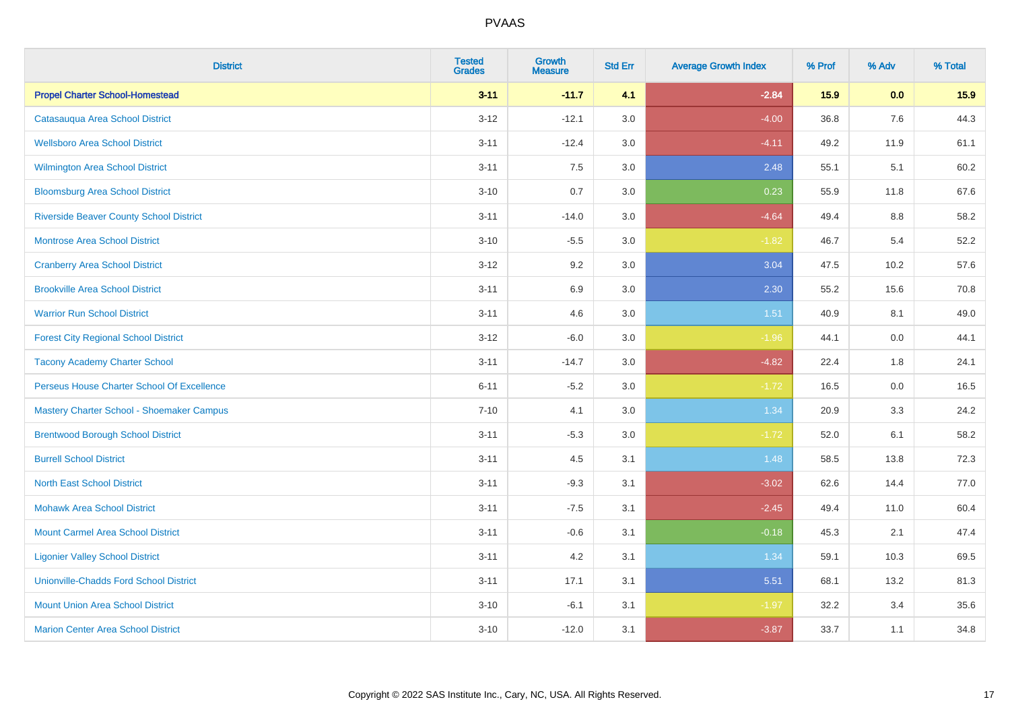| <b>District</b>                                | <b>Tested</b><br><b>Grades</b> | Growth<br><b>Measure</b> | <b>Std Err</b> | <b>Average Growth Index</b> | % Prof | % Adv | % Total |
|------------------------------------------------|--------------------------------|--------------------------|----------------|-----------------------------|--------|-------|---------|
| <b>Propel Charter School-Homestead</b>         | $3 - 11$                       | $-11.7$                  | 4.1            | $-2.84$                     | 15.9   | 0.0   | 15.9    |
| Catasauqua Area School District                | $3 - 12$                       | $-12.1$                  | 3.0            | $-4.00$                     | 36.8   | 7.6   | 44.3    |
| <b>Wellsboro Area School District</b>          | $3 - 11$                       | $-12.4$                  | 3.0            | $-4.11$                     | 49.2   | 11.9  | 61.1    |
| <b>Wilmington Area School District</b>         | $3 - 11$                       | $7.5\,$                  | $3.0\,$        | 2.48                        | 55.1   | 5.1   | 60.2    |
| <b>Bloomsburg Area School District</b>         | $3 - 10$                       | 0.7                      | 3.0            | 0.23                        | 55.9   | 11.8  | 67.6    |
| <b>Riverside Beaver County School District</b> | $3 - 11$                       | $-14.0$                  | 3.0            | $-4.64$                     | 49.4   | 8.8   | 58.2    |
| Montrose Area School District                  | $3 - 10$                       | $-5.5$                   | 3.0            | $-1.82$                     | 46.7   | 5.4   | 52.2    |
| <b>Cranberry Area School District</b>          | $3 - 12$                       | 9.2                      | 3.0            | 3.04                        | 47.5   | 10.2  | 57.6    |
| <b>Brookville Area School District</b>         | $3 - 11$                       | 6.9                      | 3.0            | 2.30                        | 55.2   | 15.6  | 70.8    |
| <b>Warrior Run School District</b>             | $3 - 11$                       | 4.6                      | 3.0            | 1.51                        | 40.9   | 8.1   | 49.0    |
| <b>Forest City Regional School District</b>    | $3-12$                         | $-6.0$                   | 3.0            | $-1.96$                     | 44.1   | 0.0   | 44.1    |
| <b>Tacony Academy Charter School</b>           | $3 - 11$                       | $-14.7$                  | 3.0            | $-4.82$                     | 22.4   | 1.8   | 24.1    |
| Perseus House Charter School Of Excellence     | $6 - 11$                       | $-5.2$                   | 3.0            | $-1.72$                     | 16.5   | 0.0   | 16.5    |
| Mastery Charter School - Shoemaker Campus      | $7 - 10$                       | 4.1                      | 3.0            | 1.34                        | 20.9   | 3.3   | 24.2    |
| <b>Brentwood Borough School District</b>       | $3 - 11$                       | $-5.3$                   | 3.0            | $-1.72$                     | 52.0   | 6.1   | 58.2    |
| <b>Burrell School District</b>                 | $3 - 11$                       | 4.5                      | 3.1            | 1.48                        | 58.5   | 13.8  | 72.3    |
| <b>North East School District</b>              | $3 - 11$                       | $-9.3$                   | 3.1            | $-3.02$                     | 62.6   | 14.4  | 77.0    |
| <b>Mohawk Area School District</b>             | $3 - 11$                       | $-7.5$                   | 3.1            | $-2.45$                     | 49.4   | 11.0  | 60.4    |
| <b>Mount Carmel Area School District</b>       | $3 - 11$                       | $-0.6$                   | 3.1            | $-0.18$                     | 45.3   | 2.1   | 47.4    |
| <b>Ligonier Valley School District</b>         | $3 - 11$                       | 4.2                      | 3.1            | 1.34                        | 59.1   | 10.3  | 69.5    |
| <b>Unionville-Chadds Ford School District</b>  | $3 - 11$                       | 17.1                     | 3.1            | 5.51                        | 68.1   | 13.2  | 81.3    |
| <b>Mount Union Area School District</b>        | $3 - 10$                       | $-6.1$                   | 3.1            | $-1.97$                     | 32.2   | 3.4   | 35.6    |
| <b>Marion Center Area School District</b>      | $3 - 10$                       | $-12.0$                  | 3.1            | $-3.87$                     | 33.7   | 1.1   | 34.8    |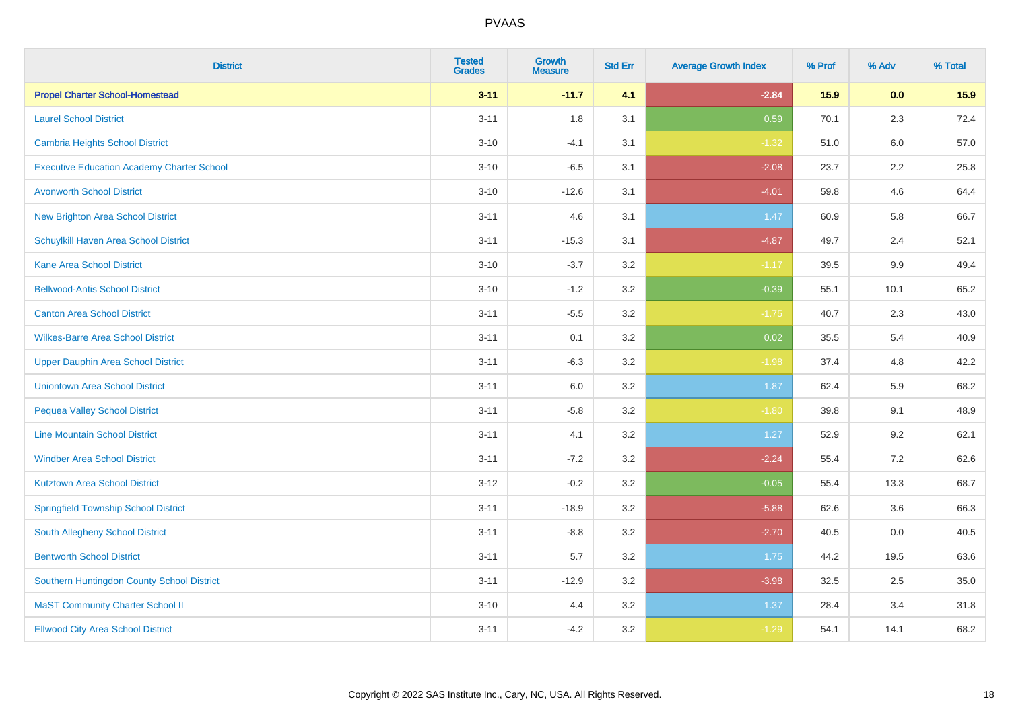| <b>District</b>                                   | <b>Tested</b><br><b>Grades</b> | <b>Growth</b><br><b>Measure</b> | <b>Std Err</b> | <b>Average Growth Index</b> | % Prof | % Adv   | % Total |
|---------------------------------------------------|--------------------------------|---------------------------------|----------------|-----------------------------|--------|---------|---------|
| <b>Propel Charter School-Homestead</b>            | $3 - 11$                       | $-11.7$                         | 4.1            | $-2.84$                     | 15.9   | 0.0     | 15.9    |
| <b>Laurel School District</b>                     | $3 - 11$                       | 1.8                             | 3.1            | 0.59                        | 70.1   | 2.3     | 72.4    |
| Cambria Heights School District                   | $3 - 10$                       | $-4.1$                          | 3.1            | $-1.32$                     | 51.0   | 6.0     | 57.0    |
| <b>Executive Education Academy Charter School</b> | $3 - 10$                       | $-6.5$                          | 3.1            | $-2.08$                     | 23.7   | $2.2\,$ | 25.8    |
| <b>Avonworth School District</b>                  | $3 - 10$                       | $-12.6$                         | 3.1            | $-4.01$                     | 59.8   | 4.6     | 64.4    |
| <b>New Brighton Area School District</b>          | $3 - 11$                       | 4.6                             | 3.1            | 1.47                        | 60.9   | 5.8     | 66.7    |
| Schuylkill Haven Area School District             | $3 - 11$                       | $-15.3$                         | 3.1            | $-4.87$                     | 49.7   | 2.4     | 52.1    |
| <b>Kane Area School District</b>                  | $3 - 10$                       | $-3.7$                          | 3.2            | $-1.17$                     | 39.5   | 9.9     | 49.4    |
| <b>Bellwood-Antis School District</b>             | $3 - 10$                       | $-1.2$                          | 3.2            | $-0.39$                     | 55.1   | 10.1    | 65.2    |
| <b>Canton Area School District</b>                | $3 - 11$                       | $-5.5$                          | 3.2            | $-1.75$                     | 40.7   | 2.3     | 43.0    |
| <b>Wilkes-Barre Area School District</b>          | $3 - 11$                       | 0.1                             | 3.2            | 0.02                        | 35.5   | 5.4     | 40.9    |
| <b>Upper Dauphin Area School District</b>         | $3 - 11$                       | $-6.3$                          | 3.2            | $-1.98$                     | 37.4   | 4.8     | 42.2    |
| <b>Uniontown Area School District</b>             | $3 - 11$                       | 6.0                             | 3.2            | 1.87                        | 62.4   | 5.9     | 68.2    |
| <b>Pequea Valley School District</b>              | $3 - 11$                       | $-5.8$                          | 3.2            | $-1.80$                     | 39.8   | 9.1     | 48.9    |
| <b>Line Mountain School District</b>              | $3 - 11$                       | 4.1                             | 3.2            | 1.27                        | 52.9   | 9.2     | 62.1    |
| <b>Windber Area School District</b>               | $3 - 11$                       | $-7.2$                          | 3.2            | $-2.24$                     | 55.4   | 7.2     | 62.6    |
| <b>Kutztown Area School District</b>              | $3 - 12$                       | $-0.2$                          | 3.2            | $-0.05$                     | 55.4   | 13.3    | 68.7    |
| <b>Springfield Township School District</b>       | $3 - 11$                       | $-18.9$                         | 3.2            | $-5.88$                     | 62.6   | 3.6     | 66.3    |
| <b>South Allegheny School District</b>            | $3 - 11$                       | $-8.8$                          | 3.2            | $-2.70$                     | 40.5   | 0.0     | 40.5    |
| <b>Bentworth School District</b>                  | $3 - 11$                       | 5.7                             | 3.2            | 1.75                        | 44.2   | 19.5    | 63.6    |
| Southern Huntingdon County School District        | $3 - 11$                       | $-12.9$                         | 3.2            | $-3.98$                     | 32.5   | 2.5     | 35.0    |
| <b>MaST Community Charter School II</b>           | $3 - 10$                       | 4.4                             | 3.2            | 1.37                        | 28.4   | 3.4     | 31.8    |
| <b>Ellwood City Area School District</b>          | $3 - 11$                       | $-4.2$                          | 3.2            | $-1.29$                     | 54.1   | 14.1    | 68.2    |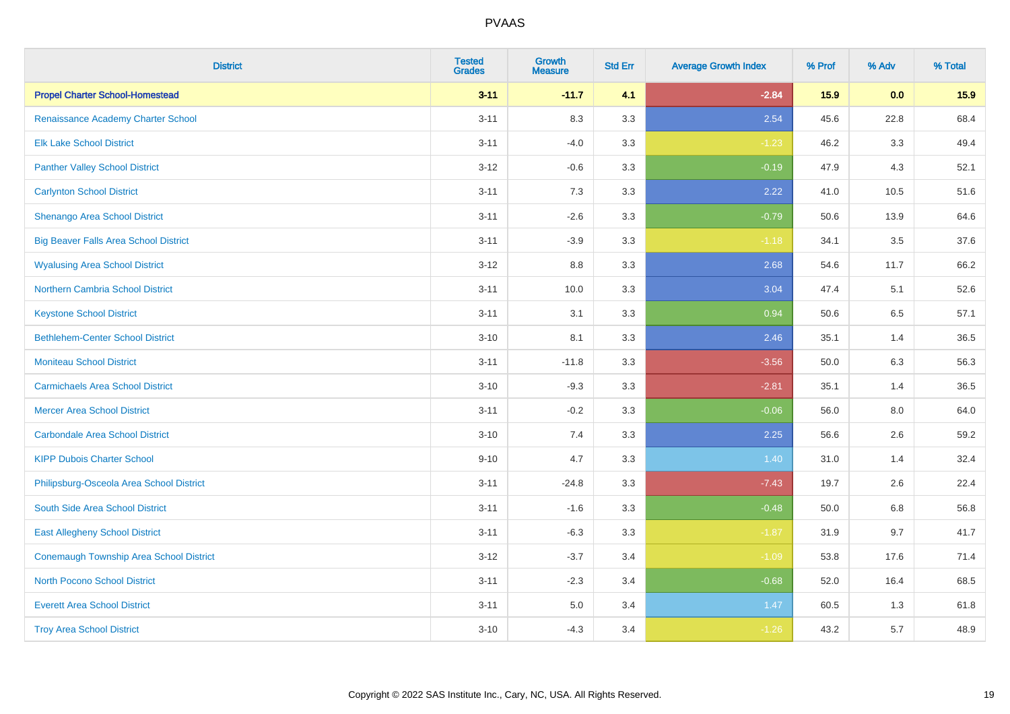| <b>District</b>                              | <b>Tested</b><br><b>Grades</b> | Growth<br><b>Measure</b> | <b>Std Err</b> | <b>Average Growth Index</b> | % Prof | % Adv   | % Total |
|----------------------------------------------|--------------------------------|--------------------------|----------------|-----------------------------|--------|---------|---------|
| <b>Propel Charter School-Homestead</b>       | $3 - 11$                       | $-11.7$                  | 4.1            | $-2.84$                     | 15.9   | 0.0     | 15.9    |
| Renaissance Academy Charter School           | $3 - 11$                       | 8.3                      | 3.3            | 2.54                        | 45.6   | 22.8    | 68.4    |
| <b>Elk Lake School District</b>              | $3 - 11$                       | $-4.0$                   | 3.3            | $-1.23$                     | 46.2   | 3.3     | 49.4    |
| <b>Panther Valley School District</b>        | $3 - 12$                       | $-0.6$                   | 3.3            | $-0.19$                     | 47.9   | 4.3     | 52.1    |
| <b>Carlynton School District</b>             | $3 - 11$                       | $7.3$                    | 3.3            | 2.22                        | 41.0   | 10.5    | 51.6    |
| Shenango Area School District                | $3 - 11$                       | $-2.6$                   | 3.3            | $-0.79$                     | 50.6   | 13.9    | 64.6    |
| <b>Big Beaver Falls Area School District</b> | $3 - 11$                       | $-3.9$                   | 3.3            | $-1.18$                     | 34.1   | 3.5     | 37.6    |
| <b>Wyalusing Area School District</b>        | $3 - 12$                       | 8.8                      | 3.3            | 2.68                        | 54.6   | 11.7    | 66.2    |
| <b>Northern Cambria School District</b>      | $3 - 11$                       | 10.0                     | 3.3            | 3.04                        | 47.4   | 5.1     | 52.6    |
| <b>Keystone School District</b>              | $3 - 11$                       | 3.1                      | 3.3            | 0.94                        | 50.6   | 6.5     | 57.1    |
| <b>Bethlehem-Center School District</b>      | $3 - 10$                       | 8.1                      | 3.3            | 2.46                        | 35.1   | 1.4     | 36.5    |
| <b>Moniteau School District</b>              | $3 - 11$                       | $-11.8$                  | 3.3            | $-3.56$                     | 50.0   | 6.3     | 56.3    |
| <b>Carmichaels Area School District</b>      | $3 - 10$                       | $-9.3$                   | 3.3            | $-2.81$                     | 35.1   | 1.4     | 36.5    |
| <b>Mercer Area School District</b>           | $3 - 11$                       | $-0.2$                   | 3.3            | $-0.06$                     | 56.0   | $8.0\,$ | 64.0    |
| <b>Carbondale Area School District</b>       | $3 - 10$                       | 7.4                      | 3.3            | 2.25                        | 56.6   | 2.6     | 59.2    |
| <b>KIPP Dubois Charter School</b>            | $9 - 10$                       | 4.7                      | 3.3            | 1.40                        | 31.0   | 1.4     | 32.4    |
| Philipsburg-Osceola Area School District     | $3 - 11$                       | $-24.8$                  | 3.3            | $-7.43$                     | 19.7   | 2.6     | 22.4    |
| South Side Area School District              | $3 - 11$                       | $-1.6$                   | 3.3            | $-0.48$                     | 50.0   | $6.8\,$ | 56.8    |
| <b>East Allegheny School District</b>        | $3 - 11$                       | $-6.3$                   | 3.3            | $-1.87$                     | 31.9   | 9.7     | 41.7    |
| Conemaugh Township Area School District      | $3 - 12$                       | $-3.7$                   | 3.4            | $-1.09$                     | 53.8   | 17.6    | 71.4    |
| <b>North Pocono School District</b>          | $3 - 11$                       | $-2.3$                   | 3.4            | $-0.68$                     | 52.0   | 16.4    | 68.5    |
| <b>Everett Area School District</b>          | $3 - 11$                       | 5.0                      | 3.4            | 1.47                        | 60.5   | 1.3     | 61.8    |
| <b>Troy Area School District</b>             | $3 - 10$                       | $-4.3$                   | 3.4            | $-1.26$                     | 43.2   | 5.7     | 48.9    |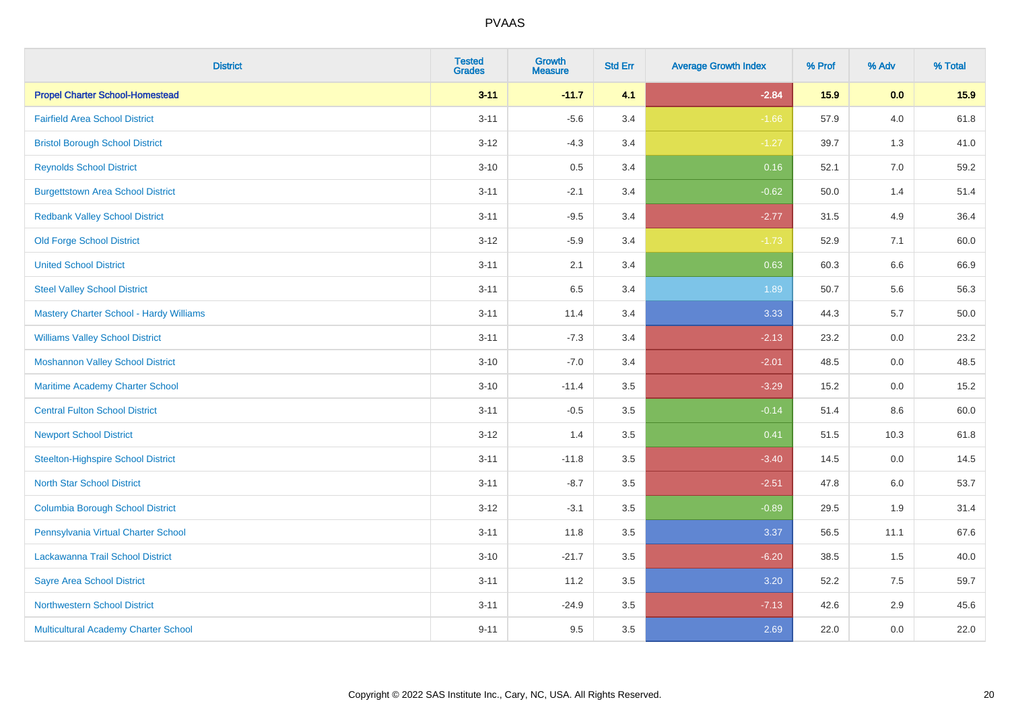| <b>District</b>                           | <b>Tested</b><br><b>Grades</b> | <b>Growth</b><br><b>Measure</b> | <b>Std Err</b> | <b>Average Growth Index</b> | % Prof | % Adv   | % Total  |
|-------------------------------------------|--------------------------------|---------------------------------|----------------|-----------------------------|--------|---------|----------|
| <b>Propel Charter School-Homestead</b>    | $3 - 11$                       | $-11.7$                         | 4.1            | $-2.84$                     | 15.9   | 0.0     | 15.9     |
| <b>Fairfield Area School District</b>     | $3 - 11$                       | $-5.6$                          | 3.4            | $-1.66$                     | 57.9   | 4.0     | 61.8     |
| <b>Bristol Borough School District</b>    | $3 - 12$                       | $-4.3$                          | 3.4            | $-1.27$                     | 39.7   | 1.3     | 41.0     |
| <b>Reynolds School District</b>           | $3 - 10$                       | 0.5                             | 3.4            | 0.16                        | 52.1   | 7.0     | 59.2     |
| <b>Burgettstown Area School District</b>  | $3 - 11$                       | $-2.1$                          | 3.4            | $-0.62$                     | 50.0   | 1.4     | 51.4     |
| <b>Redbank Valley School District</b>     | $3 - 11$                       | $-9.5$                          | 3.4            | $-2.77$                     | 31.5   | 4.9     | 36.4     |
| <b>Old Forge School District</b>          | $3 - 12$                       | $-5.9$                          | 3.4            | $-1.73$                     | 52.9   | 7.1     | 60.0     |
| <b>United School District</b>             | $3 - 11$                       | 2.1                             | 3.4            | 0.63                        | 60.3   | 6.6     | 66.9     |
| <b>Steel Valley School District</b>       | $3 - 11$                       | 6.5                             | 3.4            | 1.89                        | 50.7   | 5.6     | 56.3     |
| Mastery Charter School - Hardy Williams   | $3 - 11$                       | 11.4                            | 3.4            | 3.33                        | 44.3   | 5.7     | $50.0\,$ |
| <b>Williams Valley School District</b>    | $3 - 11$                       | $-7.3$                          | 3.4            | $-2.13$                     | 23.2   | 0.0     | 23.2     |
| <b>Moshannon Valley School District</b>   | $3 - 10$                       | $-7.0$                          | 3.4            | $-2.01$                     | 48.5   | 0.0     | 48.5     |
| Maritime Academy Charter School           | $3 - 10$                       | $-11.4$                         | 3.5            | $-3.29$                     | 15.2   | 0.0     | 15.2     |
| <b>Central Fulton School District</b>     | $3 - 11$                       | $-0.5$                          | 3.5            | $-0.14$                     | 51.4   | $8.6\,$ | 60.0     |
| <b>Newport School District</b>            | $3 - 12$                       | 1.4                             | 3.5            | 0.41                        | 51.5   | 10.3    | 61.8     |
| <b>Steelton-Highspire School District</b> | $3 - 11$                       | $-11.8$                         | 3.5            | $-3.40$                     | 14.5   | 0.0     | 14.5     |
| <b>North Star School District</b>         | $3 - 11$                       | $-8.7$                          | 3.5            | $-2.51$                     | 47.8   | 6.0     | 53.7     |
| <b>Columbia Borough School District</b>   | $3 - 12$                       | $-3.1$                          | 3.5            | $-0.89$                     | 29.5   | 1.9     | 31.4     |
| Pennsylvania Virtual Charter School       | $3 - 11$                       | 11.8                            | 3.5            | 3.37                        | 56.5   | 11.1    | 67.6     |
| Lackawanna Trail School District          | $3 - 10$                       | $-21.7$                         | 3.5            | $-6.20$                     | 38.5   | 1.5     | 40.0     |
| <b>Sayre Area School District</b>         | $3 - 11$                       | 11.2                            | 3.5            | 3.20                        | 52.2   | 7.5     | 59.7     |
| <b>Northwestern School District</b>       | $3 - 11$                       | $-24.9$                         | 3.5            | $-7.13$                     | 42.6   | 2.9     | 45.6     |
| Multicultural Academy Charter School      | $9 - 11$                       | 9.5                             | 3.5            | 2.69                        | 22.0   | 0.0     | 22.0     |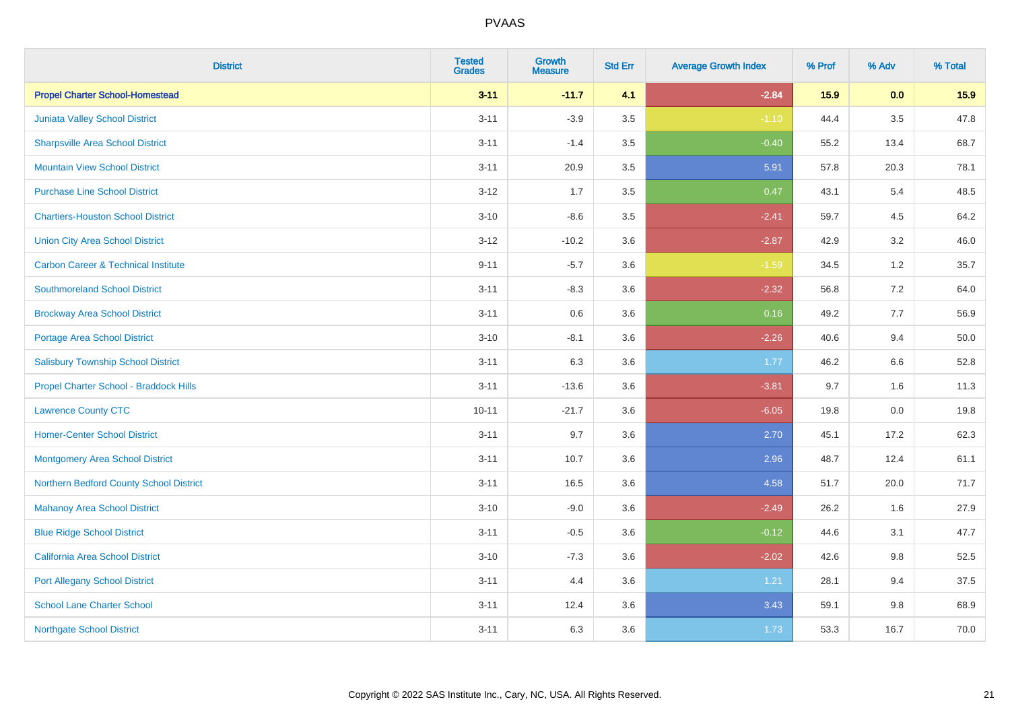| <b>District</b>                                | <b>Tested</b><br><b>Grades</b> | <b>Growth</b><br><b>Measure</b> | <b>Std Err</b> | <b>Average Growth Index</b> | % Prof | % Adv   | % Total |
|------------------------------------------------|--------------------------------|---------------------------------|----------------|-----------------------------|--------|---------|---------|
| <b>Propel Charter School-Homestead</b>         | $3 - 11$                       | $-11.7$                         | 4.1            | $-2.84$                     | 15.9   | 0.0     | 15.9    |
| Juniata Valley School District                 | $3 - 11$                       | $-3.9$                          | 3.5            | $-1.10$                     | 44.4   | $3.5\,$ | 47.8    |
| <b>Sharpsville Area School District</b>        | $3 - 11$                       | $-1.4$                          | 3.5            | $-0.40$                     | 55.2   | 13.4    | 68.7    |
| <b>Mountain View School District</b>           | $3 - 11$                       | 20.9                            | $3.5\,$        | 5.91                        | 57.8   | 20.3    | 78.1    |
| <b>Purchase Line School District</b>           | $3 - 12$                       | 1.7                             | 3.5            | 0.47                        | 43.1   | 5.4     | 48.5    |
| <b>Chartiers-Houston School District</b>       | $3 - 10$                       | $-8.6$                          | 3.5            | $-2.41$                     | 59.7   | 4.5     | 64.2    |
| <b>Union City Area School District</b>         | $3 - 12$                       | $-10.2$                         | 3.6            | $-2.87$                     | 42.9   | 3.2     | 46.0    |
| <b>Carbon Career &amp; Technical Institute</b> | $9 - 11$                       | $-5.7$                          | 3.6            | $-1.59$                     | 34.5   | $1.2$   | 35.7    |
| <b>Southmoreland School District</b>           | $3 - 11$                       | $-8.3$                          | 3.6            | $-2.32$                     | 56.8   | 7.2     | 64.0    |
| <b>Brockway Area School District</b>           | $3 - 11$                       | 0.6                             | 3.6            | 0.16                        | 49.2   | 7.7     | 56.9    |
| <b>Portage Area School District</b>            | $3 - 10$                       | $-8.1$                          | 3.6            | $-2.26$                     | 40.6   | 9.4     | 50.0    |
| <b>Salisbury Township School District</b>      | $3 - 11$                       | 6.3                             | 3.6            | 1.77                        | 46.2   | 6.6     | 52.8    |
| Propel Charter School - Braddock Hills         | $3 - 11$                       | $-13.6$                         | 3.6            | $-3.81$                     | 9.7    | 1.6     | 11.3    |
| <b>Lawrence County CTC</b>                     | $10 - 11$                      | $-21.7$                         | 3.6            | $-6.05$                     | 19.8   | $0.0\,$ | 19.8    |
| <b>Homer-Center School District</b>            | $3 - 11$                       | 9.7                             | 3.6            | 2.70                        | 45.1   | 17.2    | 62.3    |
| <b>Montgomery Area School District</b>         | $3 - 11$                       | 10.7                            | 3.6            | 2.96                        | 48.7   | 12.4    | 61.1    |
| Northern Bedford County School District        | $3 - 11$                       | 16.5                            | 3.6            | 4.58                        | 51.7   | 20.0    | 71.7    |
| <b>Mahanoy Area School District</b>            | $3 - 10$                       | $-9.0$                          | 3.6            | $-2.49$                     | 26.2   | 1.6     | 27.9    |
| <b>Blue Ridge School District</b>              | $3 - 11$                       | $-0.5$                          | 3.6            | $-0.12$                     | 44.6   | 3.1     | 47.7    |
| California Area School District                | $3 - 10$                       | $-7.3$                          | 3.6            | $-2.02$                     | 42.6   | $9.8\,$ | 52.5    |
| <b>Port Allegany School District</b>           | $3 - 11$                       | 4.4                             | 3.6            | 1.21                        | 28.1   | 9.4     | 37.5    |
| <b>School Lane Charter School</b>              | $3 - 11$                       | 12.4                            | 3.6            | 3.43                        | 59.1   | $9.8\,$ | 68.9    |
| <b>Northgate School District</b>               | $3 - 11$                       | 6.3                             | 3.6            | 1.73                        | 53.3   | 16.7    | 70.0    |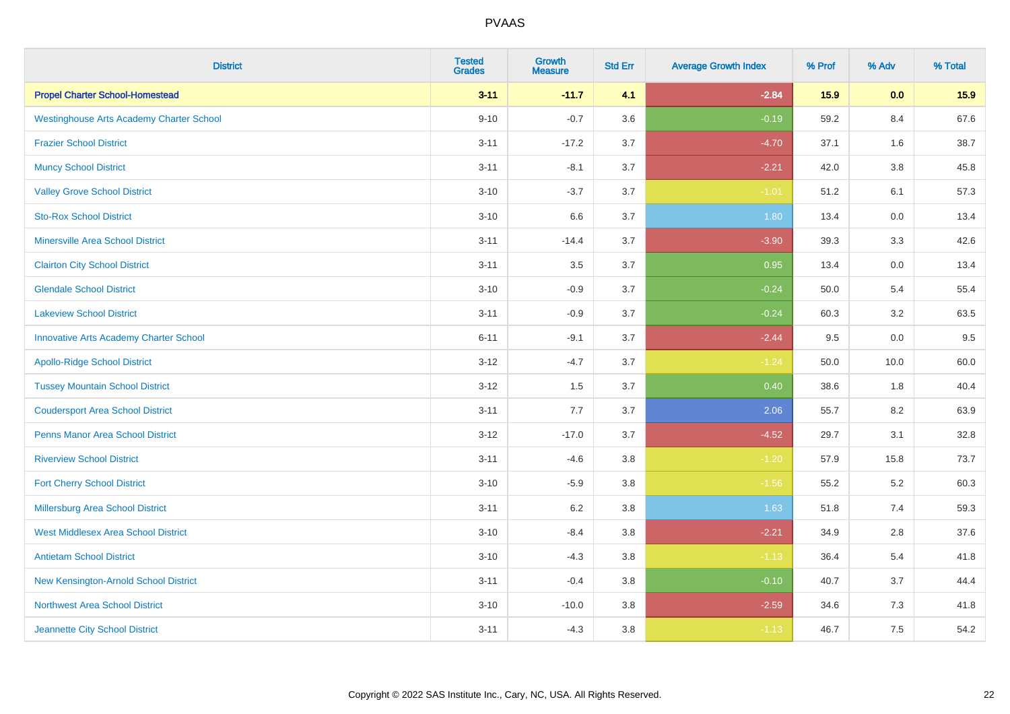| <b>District</b>                                 | <b>Tested</b><br><b>Grades</b> | Growth<br><b>Measure</b> | <b>Std Err</b> | <b>Average Growth Index</b> | % Prof | % Adv   | % Total |
|-------------------------------------------------|--------------------------------|--------------------------|----------------|-----------------------------|--------|---------|---------|
| <b>Propel Charter School-Homestead</b>          | $3 - 11$                       | $-11.7$                  | 4.1            | $-2.84$                     | 15.9   | 0.0     | 15.9    |
| <b>Westinghouse Arts Academy Charter School</b> | $9 - 10$                       | $-0.7$                   | 3.6            | $-0.19$                     | 59.2   | 8.4     | 67.6    |
| <b>Frazier School District</b>                  | $3 - 11$                       | $-17.2$                  | 3.7            | $-4.70$                     | 37.1   | 1.6     | 38.7    |
| <b>Muncy School District</b>                    | $3 - 11$                       | $-8.1$                   | 3.7            | $-2.21$                     | 42.0   | $3.8\,$ | 45.8    |
| <b>Valley Grove School District</b>             | $3 - 10$                       | $-3.7$                   | 3.7            | $-1.01$                     | 51.2   | 6.1     | 57.3    |
| <b>Sto-Rox School District</b>                  | $3 - 10$                       | 6.6                      | 3.7            | 1.80                        | 13.4   | 0.0     | 13.4    |
| <b>Minersville Area School District</b>         | $3 - 11$                       | $-14.4$                  | 3.7            | $-3.90$                     | 39.3   | 3.3     | 42.6    |
| <b>Clairton City School District</b>            | $3 - 11$                       | 3.5                      | 3.7            | 0.95                        | 13.4   | 0.0     | 13.4    |
| <b>Glendale School District</b>                 | $3 - 10$                       | $-0.9$                   | 3.7            | $-0.24$                     | 50.0   | 5.4     | 55.4    |
| <b>Lakeview School District</b>                 | $3 - 11$                       | $-0.9$                   | 3.7            | $-0.24$                     | 60.3   | 3.2     | 63.5    |
| <b>Innovative Arts Academy Charter School</b>   | $6 - 11$                       | $-9.1$                   | 3.7            | $-2.44$                     | 9.5    | 0.0     | 9.5     |
| <b>Apollo-Ridge School District</b>             | $3 - 12$                       | $-4.7$                   | 3.7            | $-1.24$                     | 50.0   | 10.0    | 60.0    |
| <b>Tussey Mountain School District</b>          | $3 - 12$                       | 1.5                      | 3.7            | 0.40                        | 38.6   | 1.8     | 40.4    |
| <b>Coudersport Area School District</b>         | $3 - 11$                       | 7.7                      | 3.7            | 2.06                        | 55.7   | 8.2     | 63.9    |
| <b>Penns Manor Area School District</b>         | $3 - 12$                       | $-17.0$                  | 3.7            | $-4.52$                     | 29.7   | 3.1     | 32.8    |
| <b>Riverview School District</b>                | $3 - 11$                       | $-4.6$                   | 3.8            | $-1.20$                     | 57.9   | 15.8    | 73.7    |
| <b>Fort Cherry School District</b>              | $3 - 10$                       | $-5.9$                   | 3.8            | $-1.56$                     | 55.2   | 5.2     | 60.3    |
| Millersburg Area School District                | $3 - 11$                       | $6.2\,$                  | 3.8            | 1.63                        | 51.8   | 7.4     | 59.3    |
| <b>West Middlesex Area School District</b>      | $3 - 10$                       | $-8.4$                   | 3.8            | $-2.21$                     | 34.9   | 2.8     | 37.6    |
| <b>Antietam School District</b>                 | $3 - 10$                       | $-4.3$                   | $3.8\,$        | $-1.13$                     | 36.4   | 5.4     | 41.8    |
| New Kensington-Arnold School District           | $3 - 11$                       | $-0.4$                   | 3.8            | $-0.10$                     | 40.7   | 3.7     | 44.4    |
| Northwest Area School District                  | $3 - 10$                       | $-10.0$                  | 3.8            | $-2.59$                     | 34.6   | 7.3     | 41.8    |
| Jeannette City School District                  | $3 - 11$                       | $-4.3$                   | 3.8            | $-1.13$                     | 46.7   | 7.5     | 54.2    |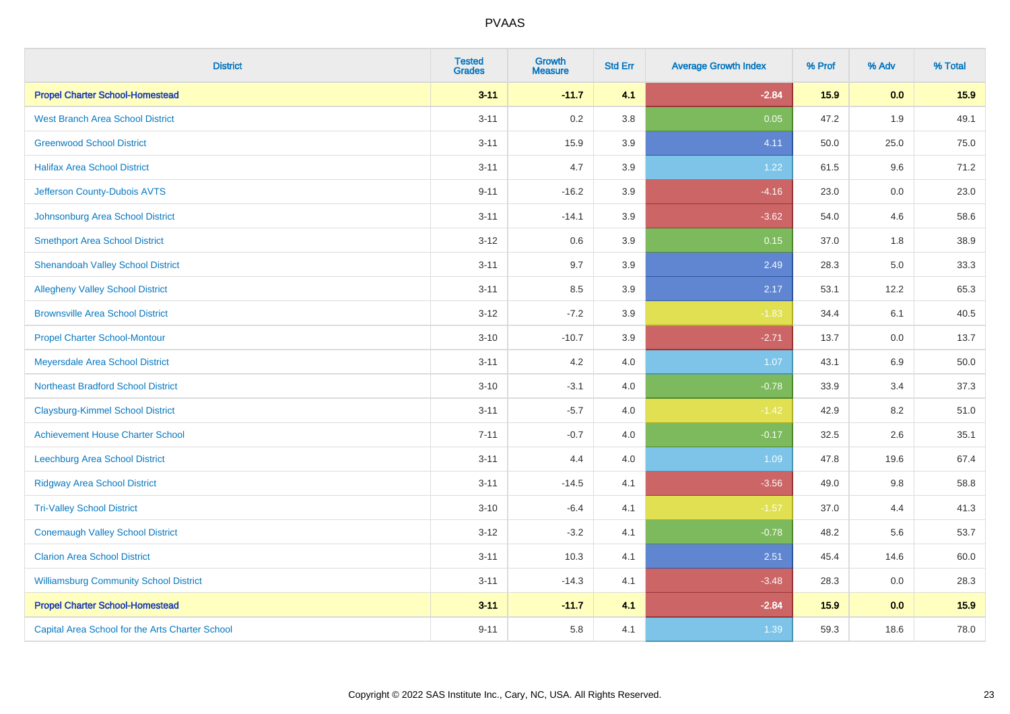| <b>District</b>                                 | <b>Tested</b><br><b>Grades</b> | <b>Growth</b><br><b>Measure</b> | <b>Std Err</b> | <b>Average Growth Index</b> | % Prof | % Adv | % Total |
|-------------------------------------------------|--------------------------------|---------------------------------|----------------|-----------------------------|--------|-------|---------|
| <b>Propel Charter School-Homestead</b>          | $3 - 11$                       | $-11.7$                         | 4.1            | $-2.84$                     | 15.9   | 0.0   | 15.9    |
| <b>West Branch Area School District</b>         | $3 - 11$                       | 0.2                             | 3.8            | 0.05                        | 47.2   | 1.9   | 49.1    |
| <b>Greenwood School District</b>                | $3 - 11$                       | 15.9                            | 3.9            | 4.11                        | 50.0   | 25.0  | 75.0    |
| <b>Halifax Area School District</b>             | $3 - 11$                       | 4.7                             | 3.9            | 1.22                        | 61.5   | 9.6   | 71.2    |
| Jefferson County-Dubois AVTS                    | $9 - 11$                       | $-16.2$                         | 3.9            | $-4.16$                     | 23.0   | 0.0   | 23.0    |
| Johnsonburg Area School District                | $3 - 11$                       | $-14.1$                         | 3.9            | $-3.62$                     | 54.0   | 4.6   | 58.6    |
| <b>Smethport Area School District</b>           | $3 - 12$                       | 0.6                             | 3.9            | 0.15                        | 37.0   | 1.8   | 38.9    |
| <b>Shenandoah Valley School District</b>        | $3 - 11$                       | 9.7                             | 3.9            | 2.49                        | 28.3   | 5.0   | 33.3    |
| <b>Allegheny Valley School District</b>         | $3 - 11$                       | 8.5                             | 3.9            | 2.17                        | 53.1   | 12.2  | 65.3    |
| <b>Brownsville Area School District</b>         | $3 - 12$                       | $-7.2$                          | 3.9            | $-1.83$                     | 34.4   | 6.1   | 40.5    |
| <b>Propel Charter School-Montour</b>            | $3 - 10$                       | $-10.7$                         | 3.9            | $-2.71$                     | 13.7   | 0.0   | 13.7    |
| Meyersdale Area School District                 | $3 - 11$                       | 4.2                             | 4.0            | 1.07                        | 43.1   | 6.9   | 50.0    |
| <b>Northeast Bradford School District</b>       | $3 - 10$                       | $-3.1$                          | 4.0            | $-0.78$                     | 33.9   | 3.4   | 37.3    |
| <b>Claysburg-Kimmel School District</b>         | $3 - 11$                       | $-5.7$                          | 4.0            | $-1.42$                     | 42.9   | 8.2   | 51.0    |
| <b>Achievement House Charter School</b>         | $7 - 11$                       | $-0.7$                          | 4.0            | $-0.17$                     | 32.5   | 2.6   | 35.1    |
| <b>Leechburg Area School District</b>           | $3 - 11$                       | 4.4                             | 4.0            | 1.09                        | 47.8   | 19.6  | 67.4    |
| <b>Ridgway Area School District</b>             | $3 - 11$                       | $-14.5$                         | 4.1            | $-3.56$                     | 49.0   | 9.8   | 58.8    |
| <b>Tri-Valley School District</b>               | $3 - 10$                       | $-6.4$                          | 4.1            | $-1.57$                     | 37.0   | 4.4   | 41.3    |
| <b>Conemaugh Valley School District</b>         | $3 - 12$                       | $-3.2$                          | 4.1            | $-0.78$                     | 48.2   | 5.6   | 53.7    |
| <b>Clarion Area School District</b>             | $3 - 11$                       | 10.3                            | 4.1            | 2.51                        | 45.4   | 14.6  | 60.0    |
| <b>Williamsburg Community School District</b>   | $3 - 11$                       | $-14.3$                         | 4.1            | $-3.48$                     | 28.3   | 0.0   | 28.3    |
| <b>Propel Charter School-Homestead</b>          | $3 - 11$                       | $-11.7$                         | 4.1            | $-2.84$                     | 15.9   | 0.0   | 15.9    |
| Capital Area School for the Arts Charter School | $9 - 11$                       | 5.8                             | 4.1            | 1.39                        | 59.3   | 18.6  | 78.0    |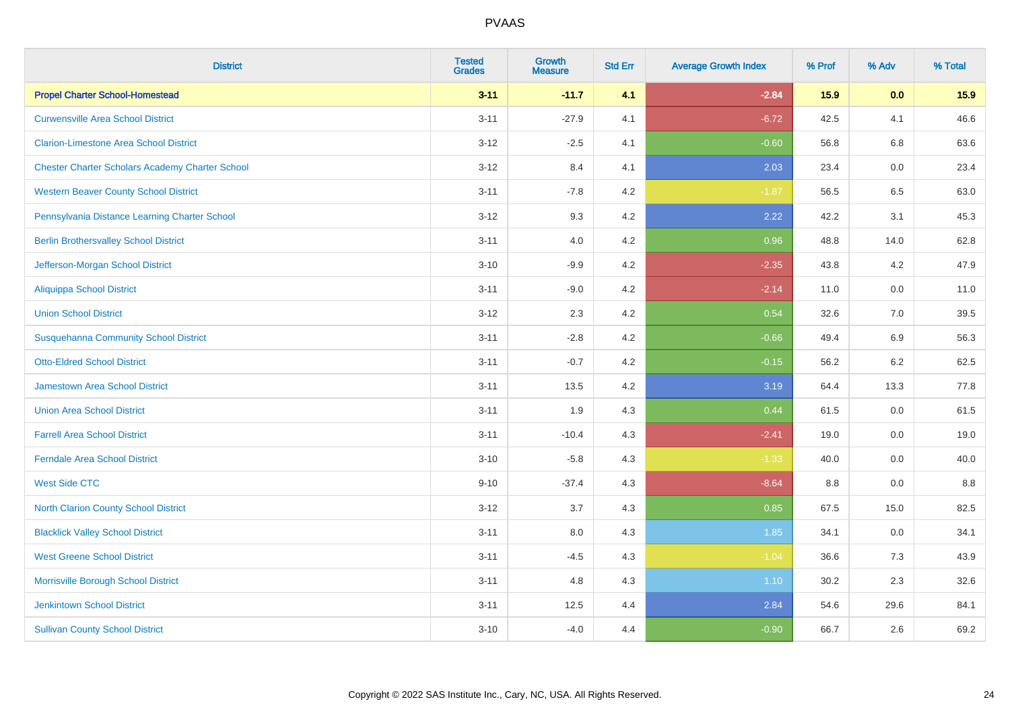| <b>District</b>                                        | <b>Tested</b><br><b>Grades</b> | <b>Growth</b><br><b>Measure</b> | <b>Std Err</b> | <b>Average Growth Index</b> | % Prof | % Adv   | % Total |
|--------------------------------------------------------|--------------------------------|---------------------------------|----------------|-----------------------------|--------|---------|---------|
| <b>Propel Charter School-Homestead</b>                 | $3 - 11$                       | $-11.7$                         | 4.1            | $-2.84$                     | 15.9   | 0.0     | 15.9    |
| <b>Curwensville Area School District</b>               | $3 - 11$                       | $-27.9$                         | 4.1            | $-6.72$                     | 42.5   | 4.1     | 46.6    |
| <b>Clarion-Limestone Area School District</b>          | $3 - 12$                       | $-2.5$                          | 4.1            | $-0.60$                     | 56.8   | 6.8     | 63.6    |
| <b>Chester Charter Scholars Academy Charter School</b> | $3 - 12$                       | 8.4                             | 4.1            | 2.03                        | 23.4   | $0.0\,$ | 23.4    |
| <b>Western Beaver County School District</b>           | $3 - 11$                       | $-7.8$                          | 4.2            | $-1.87$                     | 56.5   | 6.5     | 63.0    |
| Pennsylvania Distance Learning Charter School          | $3 - 12$                       | 9.3                             | 4.2            | 2.22                        | 42.2   | 3.1     | 45.3    |
| <b>Berlin Brothersvalley School District</b>           | $3 - 11$                       | 4.0                             | 4.2            | 0.96                        | 48.8   | 14.0    | 62.8    |
| Jefferson-Morgan School District                       | $3 - 10$                       | $-9.9$                          | 4.2            | $-2.35$                     | 43.8   | 4.2     | 47.9    |
| <b>Aliquippa School District</b>                       | $3 - 11$                       | $-9.0$                          | 4.2            | $-2.14$                     | 11.0   | 0.0     | 11.0    |
| <b>Union School District</b>                           | $3 - 12$                       | 2.3                             | 4.2            | 0.54                        | 32.6   | 7.0     | 39.5    |
| <b>Susquehanna Community School District</b>           | $3 - 11$                       | $-2.8$                          | 4.2            | $-0.66$                     | 49.4   | 6.9     | 56.3    |
| <b>Otto-Eldred School District</b>                     | $3 - 11$                       | $-0.7$                          | 4.2            | $-0.15$                     | 56.2   | 6.2     | 62.5    |
| <b>Jamestown Area School District</b>                  | $3 - 11$                       | 13.5                            | 4.2            | 3.19                        | 64.4   | 13.3    | 77.8    |
| <b>Union Area School District</b>                      | $3 - 11$                       | 1.9                             | 4.3            | 0.44                        | 61.5   | 0.0     | 61.5    |
| <b>Farrell Area School District</b>                    | $3 - 11$                       | $-10.4$                         | 4.3            | $-2.41$                     | 19.0   | 0.0     | 19.0    |
| <b>Ferndale Area School District</b>                   | $3 - 10$                       | $-5.8$                          | 4.3            | $-1.33$                     | 40.0   | 0.0     | 40.0    |
| <b>West Side CTC</b>                                   | $9 - 10$                       | $-37.4$                         | 4.3            | $-8.64$                     | 8.8    | 0.0     | 8.8     |
| North Clarion County School District                   | $3 - 12$                       | 3.7                             | 4.3            | 0.85                        | 67.5   | 15.0    | 82.5    |
| <b>Blacklick Valley School District</b>                | $3 - 11$                       | $8.0\,$                         | 4.3            | 1.85                        | 34.1   | $0.0\,$ | 34.1    |
| <b>West Greene School District</b>                     | $3 - 11$                       | $-4.5$                          | 4.3            | $-1.04$                     | 36.6   | 7.3     | 43.9    |
| Morrisville Borough School District                    | $3 - 11$                       | 4.8                             | 4.3            | 1.10                        | 30.2   | 2.3     | 32.6    |
| <b>Jenkintown School District</b>                      | $3 - 11$                       | 12.5                            | 4.4            | 2.84                        | 54.6   | 29.6    | 84.1    |
| <b>Sullivan County School District</b>                 | $3 - 10$                       | $-4.0$                          | 4.4            | $-0.90$                     | 66.7   | 2.6     | 69.2    |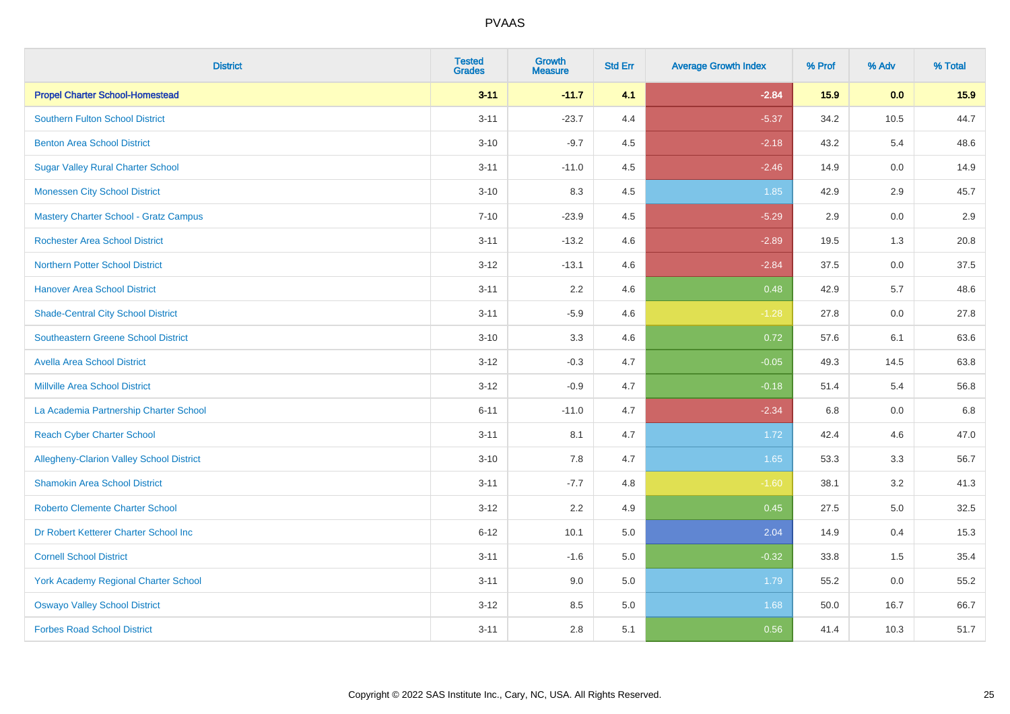| <b>District</b>                                 | <b>Tested</b><br><b>Grades</b> | <b>Growth</b><br><b>Measure</b> | <b>Std Err</b> | <b>Average Growth Index</b> | % Prof | % Adv   | % Total |
|-------------------------------------------------|--------------------------------|---------------------------------|----------------|-----------------------------|--------|---------|---------|
| <b>Propel Charter School-Homestead</b>          | $3 - 11$                       | $-11.7$                         | 4.1            | $-2.84$                     | 15.9   | 0.0     | 15.9    |
| <b>Southern Fulton School District</b>          | $3 - 11$                       | $-23.7$                         | 4.4            | $-5.37$                     | 34.2   | 10.5    | 44.7    |
| <b>Benton Area School District</b>              | $3 - 10$                       | $-9.7$                          | 4.5            | $-2.18$                     | 43.2   | 5.4     | 48.6    |
| <b>Sugar Valley Rural Charter School</b>        | $3 - 11$                       | $-11.0$                         | 4.5            | $-2.46$                     | 14.9   | $0.0\,$ | 14.9    |
| <b>Monessen City School District</b>            | $3 - 10$                       | 8.3                             | 4.5            | 1.85                        | 42.9   | 2.9     | 45.7    |
| <b>Mastery Charter School - Gratz Campus</b>    | $7 - 10$                       | $-23.9$                         | 4.5            | $-5.29$                     | 2.9    | 0.0     | 2.9     |
| <b>Rochester Area School District</b>           | $3 - 11$                       | $-13.2$                         | 4.6            | $-2.89$                     | 19.5   | 1.3     | 20.8    |
| <b>Northern Potter School District</b>          | $3 - 12$                       | $-13.1$                         | 4.6            | $-2.84$                     | 37.5   | 0.0     | 37.5    |
| <b>Hanover Area School District</b>             | $3 - 11$                       | 2.2                             | 4.6            | 0.48                        | 42.9   | 5.7     | 48.6    |
| <b>Shade-Central City School District</b>       | $3 - 11$                       | $-5.9$                          | 4.6            | $-1.28$                     | 27.8   | 0.0     | 27.8    |
| <b>Southeastern Greene School District</b>      | $3 - 10$                       | 3.3                             | 4.6            | 0.72                        | 57.6   | 6.1     | 63.6    |
| <b>Avella Area School District</b>              | $3 - 12$                       | $-0.3$                          | 4.7            | $-0.05$                     | 49.3   | 14.5    | 63.8    |
| <b>Millville Area School District</b>           | $3 - 12$                       | $-0.9$                          | 4.7            | $-0.18$                     | 51.4   | 5.4     | 56.8    |
| La Academia Partnership Charter School          | $6 - 11$                       | $-11.0$                         | 4.7            | $-2.34$                     | 6.8    | 0.0     | 6.8     |
| <b>Reach Cyber Charter School</b>               | $3 - 11$                       | 8.1                             | 4.7            | 1.72                        | 42.4   | 4.6     | 47.0    |
| <b>Allegheny-Clarion Valley School District</b> | $3 - 10$                       | 7.8                             | 4.7            | 1.65                        | 53.3   | 3.3     | 56.7    |
| <b>Shamokin Area School District</b>            | $3 - 11$                       | $-7.7$                          | 4.8            | $-1.60$                     | 38.1   | 3.2     | 41.3    |
| <b>Roberto Clemente Charter School</b>          | $3 - 12$                       | 2.2                             | 4.9            | 0.45                        | 27.5   | 5.0     | 32.5    |
| Dr Robert Ketterer Charter School Inc           | $6 - 12$                       | 10.1                            | 5.0            | 2.04                        | 14.9   | 0.4     | 15.3    |
| <b>Cornell School District</b>                  | $3 - 11$                       | $-1.6$                          | 5.0            | $-0.32$                     | 33.8   | 1.5     | 35.4    |
| York Academy Regional Charter School            | $3 - 11$                       | 9.0                             | 5.0            | 1.79                        | 55.2   | 0.0     | 55.2    |
| <b>Oswayo Valley School District</b>            | $3 - 12$                       | 8.5                             | 5.0            | 1.68                        | 50.0   | 16.7    | 66.7    |
| <b>Forbes Road School District</b>              | $3 - 11$                       | 2.8                             | 5.1            | 0.56                        | 41.4   | 10.3    | 51.7    |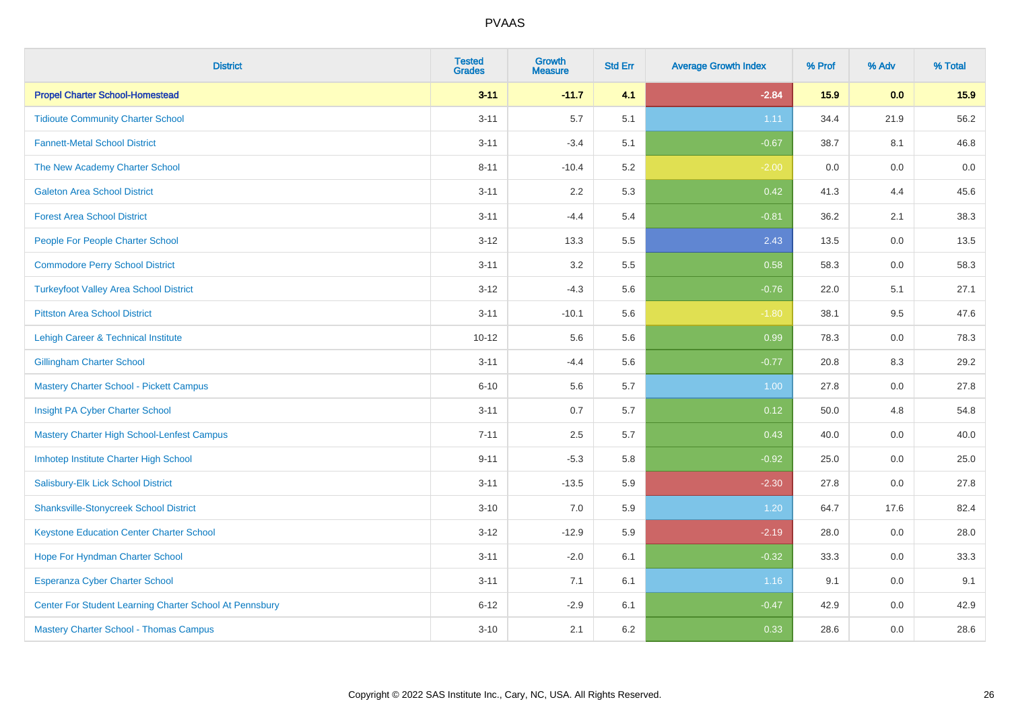| <b>District</b>                                         | <b>Tested</b><br><b>Grades</b> | <b>Growth</b><br><b>Measure</b> | <b>Std Err</b> | <b>Average Growth Index</b> | % Prof | % Adv   | % Total |
|---------------------------------------------------------|--------------------------------|---------------------------------|----------------|-----------------------------|--------|---------|---------|
| <b>Propel Charter School-Homestead</b>                  | $3 - 11$                       | $-11.7$                         | 4.1            | $-2.84$                     | 15.9   | 0.0     | 15.9    |
| <b>Tidioute Community Charter School</b>                | $3 - 11$                       | 5.7                             | 5.1            | 1.11                        | 34.4   | 21.9    | 56.2    |
| <b>Fannett-Metal School District</b>                    | $3 - 11$                       | $-3.4$                          | 5.1            | $-0.67$                     | 38.7   | 8.1     | 46.8    |
| The New Academy Charter School                          | $8 - 11$                       | $-10.4$                         | 5.2            | $-2.00$                     | 0.0    | $0.0\,$ | $0.0\,$ |
| <b>Galeton Area School District</b>                     | $3 - 11$                       | 2.2                             | 5.3            | 0.42                        | 41.3   | 4.4     | 45.6    |
| <b>Forest Area School District</b>                      | $3 - 11$                       | $-4.4$                          | 5.4            | $-0.81$                     | 36.2   | 2.1     | 38.3    |
| People For People Charter School                        | $3 - 12$                       | 13.3                            | 5.5            | 2.43                        | 13.5   | 0.0     | 13.5    |
| <b>Commodore Perry School District</b>                  | $3 - 11$                       | 3.2                             | 5.5            | 0.58                        | 58.3   | 0.0     | 58.3    |
| <b>Turkeyfoot Valley Area School District</b>           | $3 - 12$                       | $-4.3$                          | 5.6            | $-0.76$                     | 22.0   | 5.1     | 27.1    |
| <b>Pittston Area School District</b>                    | $3 - 11$                       | $-10.1$                         | 5.6            | $-1.80$                     | 38.1   | 9.5     | 47.6    |
| Lehigh Career & Technical Institute                     | $10 - 12$                      | 5.6                             | 5.6            | 0.99                        | 78.3   | 0.0     | 78.3    |
| <b>Gillingham Charter School</b>                        | $3 - 11$                       | $-4.4$                          | 5.6            | $-0.77$                     | 20.8   | 8.3     | 29.2    |
| <b>Mastery Charter School - Pickett Campus</b>          | $6 - 10$                       | 5.6                             | 5.7            | 1.00                        | 27.8   | 0.0     | 27.8    |
| Insight PA Cyber Charter School                         | $3 - 11$                       | 0.7                             | 5.7            | 0.12                        | 50.0   | 4.8     | 54.8    |
| Mastery Charter High School-Lenfest Campus              | $7 - 11$                       | 2.5                             | 5.7            | 0.43                        | 40.0   | 0.0     | 40.0    |
| Imhotep Institute Charter High School                   | $9 - 11$                       | $-5.3$                          | 5.8            | $-0.92$                     | 25.0   | 0.0     | 25.0    |
| Salisbury-Elk Lick School District                      | $3 - 11$                       | $-13.5$                         | 5.9            | $-2.30$                     | 27.8   | 0.0     | 27.8    |
| <b>Shanksville-Stonycreek School District</b>           | $3 - 10$                       | 7.0                             | 5.9            | 1.20                        | 64.7   | 17.6    | 82.4    |
| <b>Keystone Education Center Charter School</b>         | $3 - 12$                       | $-12.9$                         | 5.9            | $-2.19$                     | 28.0   | 0.0     | 28.0    |
| Hope For Hyndman Charter School                         | $3 - 11$                       | $-2.0$                          | 6.1            | $-0.32$                     | 33.3   | 0.0     | 33.3    |
| Esperanza Cyber Charter School                          | $3 - 11$                       | 7.1                             | 6.1            | 1.16                        | 9.1    | 0.0     | 9.1     |
| Center For Student Learning Charter School At Pennsbury | $6 - 12$                       | $-2.9$                          | 6.1            | $-0.47$                     | 42.9   | 0.0     | 42.9    |
| <b>Mastery Charter School - Thomas Campus</b>           | $3 - 10$                       | 2.1                             | 6.2            | 0.33                        | 28.6   | 0.0     | 28.6    |